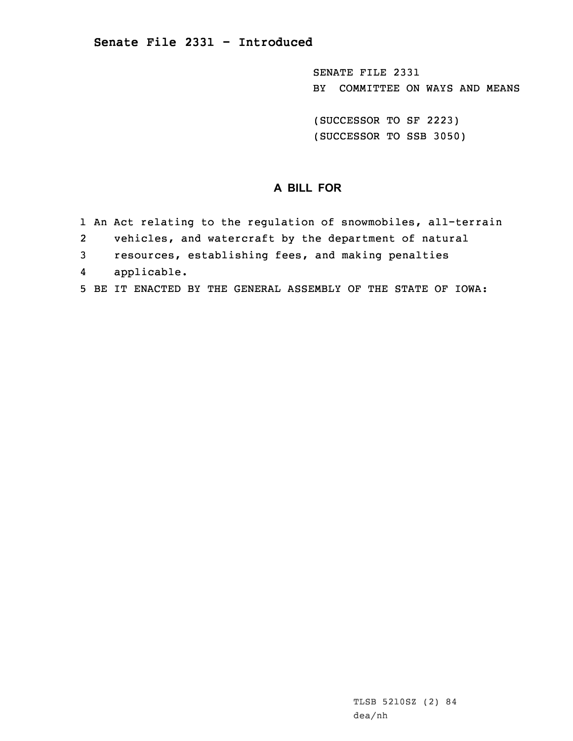SENATE FILE 2331 BY COMMITTEE ON WAYS AND MEANS

(SUCCESSOR TO SF 2223) (SUCCESSOR TO SSB 3050)

# **A BILL FOR**

- 1 An Act relating to the regulation of snowmobiles, all-terrain
- 2vehicles, and watercraft by the department of natural
- 3 resources, establishing fees, and making penalties
- 4applicable.
- 5 BE IT ENACTED BY THE GENERAL ASSEMBLY OF THE STATE OF IOWA: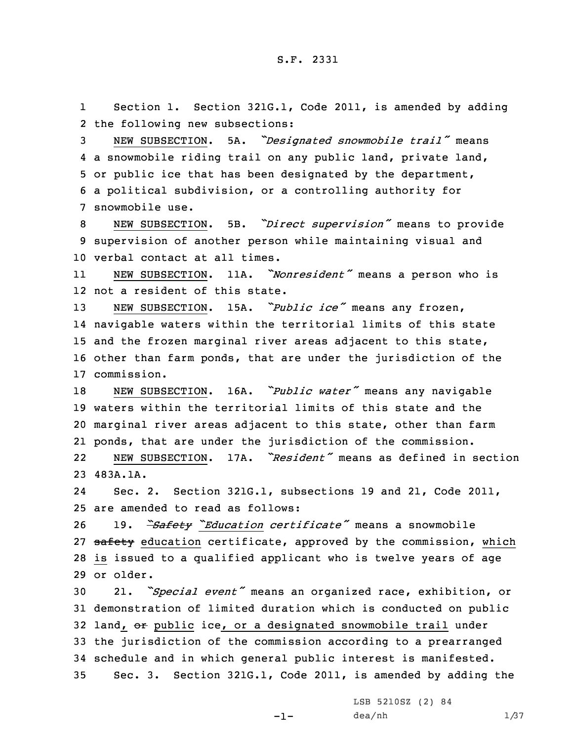1 Section 1. Section 321G.1, Code 2011, is amended by adding 2 the following new subsections:

 NEW SUBSECTION. 5A. *"Designated snowmobile trail"* means <sup>a</sup> snowmobile riding trail on any public land, private land, or public ice that has been designated by the department, <sup>a</sup> political subdivision, or <sup>a</sup> controlling authority for snowmobile use.

<sup>8</sup> NEW SUBSECTION. 5B. *"Direct supervision"* means to provide 9 supervision of another person while maintaining visual and 10 verbal contact at all times.

11 NEW SUBSECTION. 11A. *"Nonresident"* means <sup>a</sup> person who is 12 not <sup>a</sup> resident of this state.

 NEW SUBSECTION. 15A. *"Public ice"* means any frozen, navigable waters within the territorial limits of this state and the frozen marginal river areas adjacent to this state, other than farm ponds, that are under the jurisdiction of the commission.

 NEW SUBSECTION. 16A. *"Public water"* means any navigable waters within the territorial limits of this state and the marginal river areas adjacent to this state, other than farm ponds, that are under the jurisdiction of the commission.

22 NEW SUBSECTION. 17A. *"Resident"* means as defined in section 23 483A.1A.

24 Sec. 2. Section 321G.1, subsections 19 and 21, Code 2011, 25 are amended to read as follows:

 19. *"Safety "Education certificate"* means <sup>a</sup> snowmobile 27 safety education certificate, approved by the commission, which is issued to <sup>a</sup> qualified applicant who is twelve years of age or older.

 21. *"Special event"* means an organized race, exhibition, or demonstration of limited duration which is conducted on public 32 land, or public ice, or a designated snowmobile trail under the jurisdiction of the commission according to <sup>a</sup> prearranged schedule and in which general public interest is manifested. Sec. 3. Section 321G.1, Code 2011, is amended by adding the

-1-

LSB 5210SZ (2) 84  $dea/nh$  1/37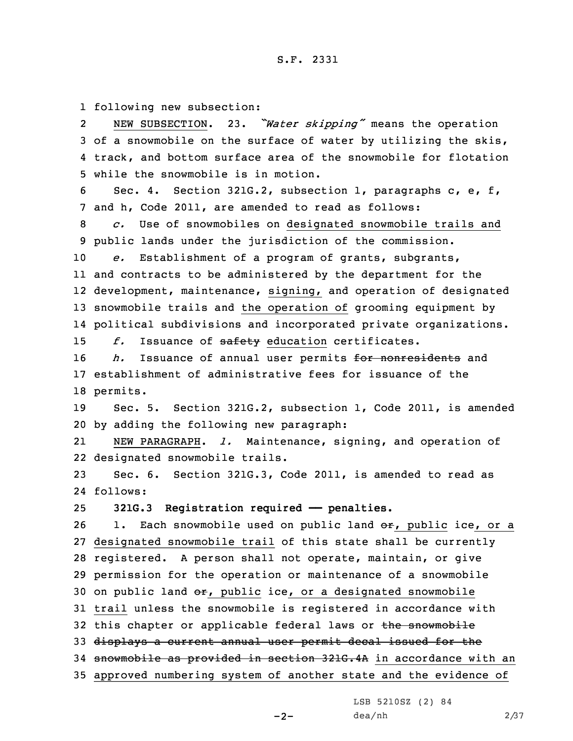1 following new subsection:

2 NEW SUBSECTION. 23. *"Water skipping"* means the operation 3 of <sup>a</sup> snowmobile on the surface of water by utilizing the skis, 4 track, and bottom surface area of the snowmobile for flotation 5 while the snowmobile is in motion.

6 Sec. 4. Section 321G.2, subsection 1, paragraphs c, e, f, 7 and h, Code 2011, are amended to read as follows:

8 *c.* Use of snowmobiles on designated snowmobile trails and 9 public lands under the jurisdiction of the commission.

 *e.* Establishment of <sup>a</sup> program of grants, subgrants, and contracts to be administered by the department for the development, maintenance, signing, and operation of designated snowmobile trails and the operation of grooming equipment by political subdivisions and incorporated private organizations.

15 f. Issuance of safety education certificates.

16 *h.* Issuance of annual user permits for nonresidents and 17 establishment of administrative fees for issuance of the 18 permits.

19 Sec. 5. Section 321G.2, subsection 1, Code 2011, is amended 20 by adding the following new paragraph:

21 NEW PARAGRAPH. *l.* Maintenance, signing, and operation of 22 designated snowmobile trails.

23 Sec. 6. Section 321G.3, Code 2011, is amended to read as 24 follows:

25 **321G.3 Registration required —— penalties.**

26 1. Each snowmobile used on public land  $\Theta$ r, public ice, or a 27 designated snowmobile trail of this state shall be currently 28 registered. <sup>A</sup> person shall not operate, maintain, or give 29 permission for the operation or maintenance of <sup>a</sup> snowmobile 30 on public land  $e\mathbf{r}$ , public ice, or a designated snowmobile 31 trail unless the snowmobile is registered in accordance with 32 this chapter or applicable federal laws or the snowmobile 33 displays <sup>a</sup> current annual user permit decal issued for the 34 snowmobile as provided in section 321G.4A in accordance with an 35 approved numbering system of another state and the evidence of

LSB 5210SZ (2) 84

dea/nh 2/37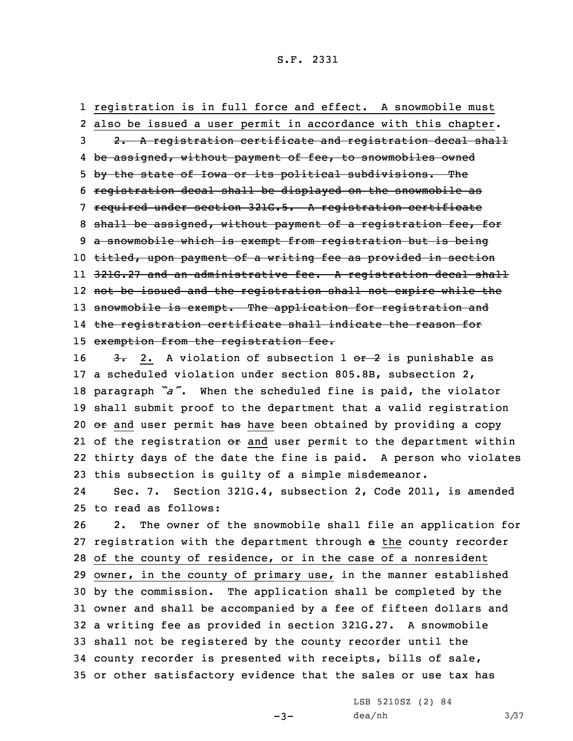registration is in full force and effect. <sup>A</sup> snowmobile must also be issued <sup>a</sup> user permit in accordance with this chapter. 3 2. A registration certificate and registration decal shall be assigned, without payment of fee, to snowmobiles owned by the state of Iowa or its political subdivisions. The registration decal shall be displayed on the snowmobile as required under section 321G.5. <sup>A</sup> registration certificate 8 shall be assigned, without payment of a registration fee, for <sup>a</sup> snowmobile which is exempt from registration but is being 10 titled, upon payment of a writing fee as provided in section 321G.27 and an administrative fee. <sup>A</sup> registration decal shall not be issued and the registration shall not expire while the 13 snowmobile is exempt. The application for registration and the registration certificate shall indicate the reason for exemption from the registration fee.

 $\frac{3}{2}$  2. A violation of subsection 1 or 2 is punishable as <sup>a</sup> scheduled violation under section 805.8B, subsection 2, paragraph *"a"*. When the scheduled fine is paid, the violator shall submit proof to the department that <sup>a</sup> valid registration 20 or and user permit has have been obtained by providing a copy 21 of the registration <del>or</del> and user permit to the department within thirty days of the date the fine is paid. <sup>A</sup> person who violates this subsection is guilty of <sup>a</sup> simple misdemeanor.

24 Sec. 7. Section 321G.4, subsection 2, Code 2011, is amended 25 to read as follows:

 2. The owner of the snowmobile shall file an application for 27 registration with the department through a the county recorder of the county of residence, or in the case of <sup>a</sup> nonresident owner, in the county of primary use, in the manner established by the commission. The application shall be completed by the owner and shall be accompanied by <sup>a</sup> fee of fifteen dollars and <sup>a</sup> writing fee as provided in section 321G.27. <sup>A</sup> snowmobile shall not be registered by the county recorder until the county recorder is presented with receipts, bills of sale, or other satisfactory evidence that the sales or use tax has

 $-3-$ 

LSB 5210SZ (2) 84 dea/nh 3/37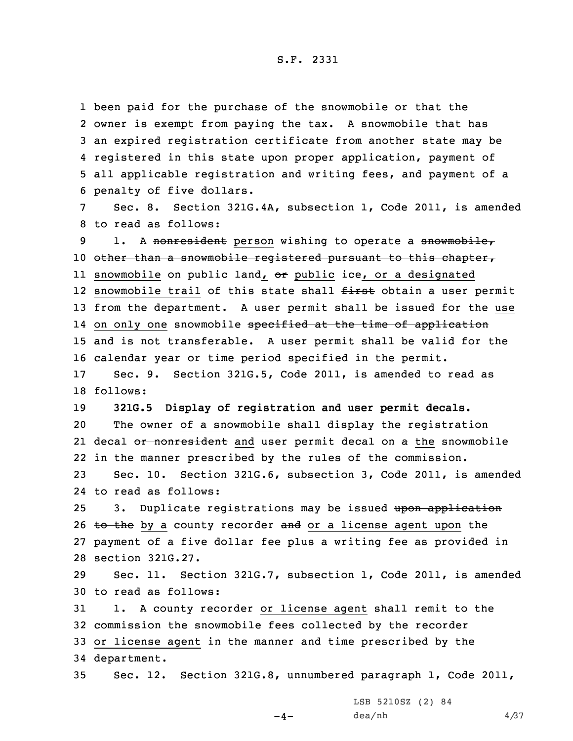been paid for the purchase of the snowmobile or that the owner is exempt from paying the tax. <sup>A</sup> snowmobile that has an expired registration certificate from another state may be registered in this state upon proper application, payment of all applicable registration and writing fees, and payment of <sup>a</sup> penalty of five dollars.

7 Sec. 8. Section 321G.4A, subsection 1, Code 2011, is amended 8 to read as follows:

9 1. A nonresident person wishing to operate a snowmobile, 10 other than a snowmobile registered pursuant to this chapter, ll snowmobile on public land, <del>or</del> public ice, or a designated 12 snowmobile trail of this state shall <del>first</del> obtain a user permit 13 from the department. A user permit shall be issued for the use 14 on only one snowmobile <del>specified at the time of application</del> 15 and is not transferable. <sup>A</sup> user permit shall be valid for the 16 calendar year or time period specified in the permit.

17 Sec. 9. Section 321G.5, Code 2011, is amended to read as 18 follows:

 **321G.5 Display of registration and user permit decals.** The owner of <sup>a</sup> snowmobile shall display the registration 21 decal <del>or nonresident</del> and user permit decal on <del>a</del> the snowmobile in the manner prescribed by the rules of the commission.

23 Sec. 10. Section 321G.6, subsection 3, Code 2011, is amended 24 to read as follows:

25 3. Duplicate registrations may be issued upon application  $t_0$  the by a county recorder and or a license agent upon the payment of <sup>a</sup> five dollar fee plus <sup>a</sup> writing fee as provided in section 321G.27.

29 Sec. 11. Section 321G.7, subsection 1, Code 2011, is amended 30 to read as follows:

 1. <sup>A</sup> county recorder or license agent shall remit to the commission the snowmobile fees collected by the recorder or license agent in the manner and time prescribed by the department.

 $-4-$ 

35 Sec. 12. Section 321G.8, unnumbered paragraph 1, Code 2011,

LSB 5210SZ (2) 84  $dea/nh$  4/37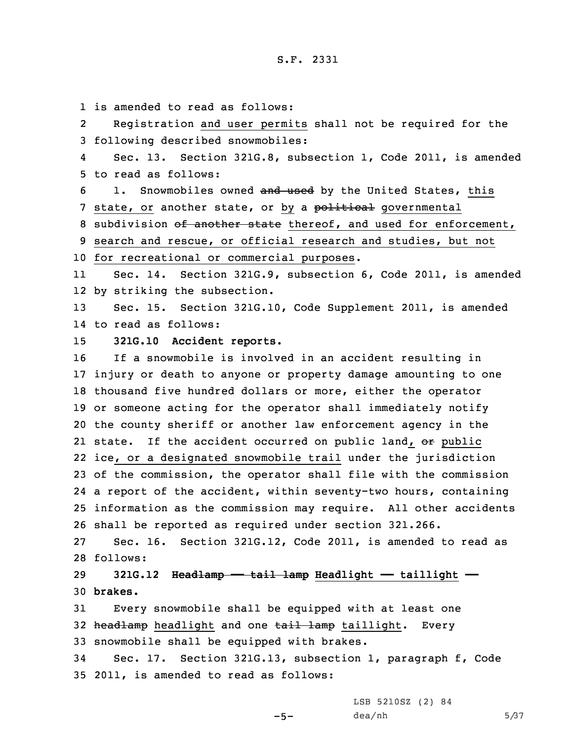is amended to read as follows: 2 Registration and user permits shall not be required for the following described snowmobiles: 4 Sec. 13. Section 321G.8, subsection 1, Code 2011, is amended to read as follows: 6 1. Snowmobiles owned and used by the United States, this 7 state, or another state, or by a political governmental 8 subdivision of another state thereof, and used for enforcement, search and rescue, or official research and studies, but not for recreational or commercial purposes. 11 Sec. 14. Section 321G.9, subsection 6, Code 2011, is amended by striking the subsection. Sec. 15. Section 321G.10, Code Supplement 2011, is amended to read as follows: **321G.10 Accident reports.** If <sup>a</sup> snowmobile is involved in an accident resulting in injury or death to anyone or property damage amounting to one thousand five hundred dollars or more, either the operator or someone acting for the operator shall immediately notify the county sheriff or another law enforcement agency in the 21 state. If the accident occurred on public land, o<del>r</del> public ice, or <sup>a</sup> designated snowmobile trail under the jurisdiction of the commission, the operator shall file with the commission <sup>a</sup> report of the accident, within seventy-two hours, containing information as the commission may require. All other accidents shall be reported as required under section 321.266. Sec. 16. Section 321G.12, Code 2011, is amended to read as 28 follows: **321G.12 Headlamp —— tail lamp Headlight —— taillight ——** 30 **brakes.** Every snowmobile shall be equipped with at least one 32 headlamp headlight and one tail lamp taillight. Every snowmobile shall be equipped with brakes. Sec. 17. Section 321G.13, subsection 1, paragraph f, Code 2011, is amended to read as follows:

LSB 5210SZ (2) 84

 $-5-$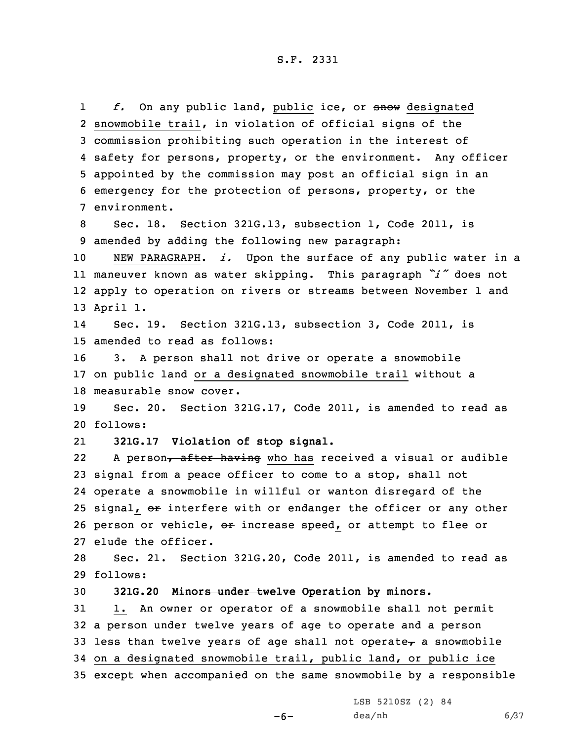1 *f.* On any public land, public ice, or snow designated snowmobile trail, in violation of official signs of the commission prohibiting such operation in the interest of safety for persons, property, or the environment. Any officer appointed by the commission may post an official sign in an emergency for the protection of persons, property, or the environment. Sec. 18. Section 321G.13, subsection 1, Code 2011, is amended by adding the following new paragraph: NEW PARAGRAPH. *i.* Upon the surface of any public water in <sup>a</sup> maneuver known as water skipping. This paragraph *"i"* does not apply to operation on rivers or streams between November 1 and 13 April 1. 14 Sec. 19. Section 321G.13, subsection 3, Code 2011, is amended to read as follows: 3. <sup>A</sup> person shall not drive or operate <sup>a</sup> snowmobile on public land or <sup>a</sup> designated snowmobile trail without <sup>a</sup> measurable snow cover. Sec. 20. Section 321G.17, Code 2011, is amended to read as 20 follows: 21 **321G.17 Violation of stop signal.** 22A person, after having who has received a visual or audible signal from <sup>a</sup> peace officer to come to <sup>a</sup> stop, shall not operate <sup>a</sup> snowmobile in willful or wanton disregard of the 25 signal, or interfere with or endanger the officer or any other 26 person or vehicle, or increase speed, or attempt to flee or elude the officer. Sec. 21. Section 321G.20, Code 2011, is amended to read as 29 follows: **321G.20 Minors under twelve Operation by minors.** 1. An owner or operator of <sup>a</sup> snowmobile shall not permit <sup>a</sup> person under twelve years of age to operate and <sup>a</sup> person 33 less than twelve years of age shall not operate $<sub>r</sub>$  a snowmobile</sub>

34 on <sup>a</sup> designated snowmobile trail, public land, or public ice 35 except when accompanied on the same snowmobile by <sup>a</sup> responsible

 $-6-$ 

LSB 5210SZ (2) 84  $dea/nh$  6/37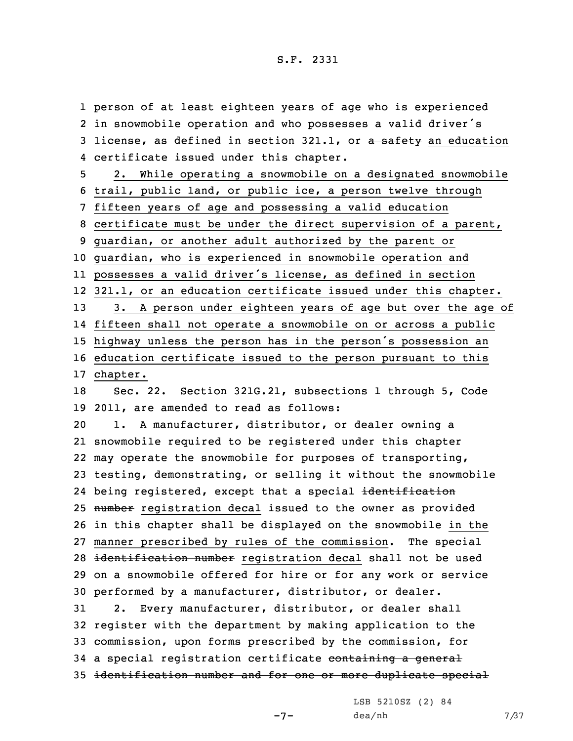person of at least eighteen years of age who is experienced in snowmobile operation and who possesses <sup>a</sup> valid driver's 3 license, as defined in section 321.1, or a safety an education certificate issued under this chapter. 2. While operating <sup>a</sup> snowmobile on <sup>a</sup> designated snowmobile trail, public land, or public ice, <sup>a</sup> person twelve through fifteen years of age and possessing <sup>a</sup> valid education certificate must be under the direct supervision of <sup>a</sup> parent, guardian, or another adult authorized by the parent or guardian, who is experienced in snowmobile operation and possesses <sup>a</sup> valid driver's license, as defined in section 321.1, or an education certificate issued under this chapter. 3. <sup>A</sup> person under eighteen years of age but over the age of fifteen shall not operate <sup>a</sup> snowmobile on or across <sup>a</sup> public highway unless the person has in the person's possession an education certificate issued to the person pursuant to this 17 chapter. Sec. 22. Section 321G.21, subsections 1 through 5, Code 2011, are amended to read as follows: 1. <sup>A</sup> manufacturer, distributor, or dealer owning <sup>a</sup> snowmobile required to be registered under this chapter may operate the snowmobile for purposes of transporting, testing, demonstrating, or selling it without the snowmobile 24 being registered, except that a special <del>identification</del> 25 number registration decal issued to the owner as provided in this chapter shall be displayed on the snowmobile in the manner prescribed by rules of the commission. The special 28 identification number registration decal shall not be used on <sup>a</sup> snowmobile offered for hire or for any work or service performed by <sup>a</sup> manufacturer, distributor, or dealer. 2. Every manufacturer, distributor, or dealer shall register with the department by making application to the commission, upon forms prescribed by the commission, for 34 a special registration certificate containing a general identification number and for one or more duplicate special

 $-7-$ 

LSB 5210SZ (2) 84  $dea/nh$  7/37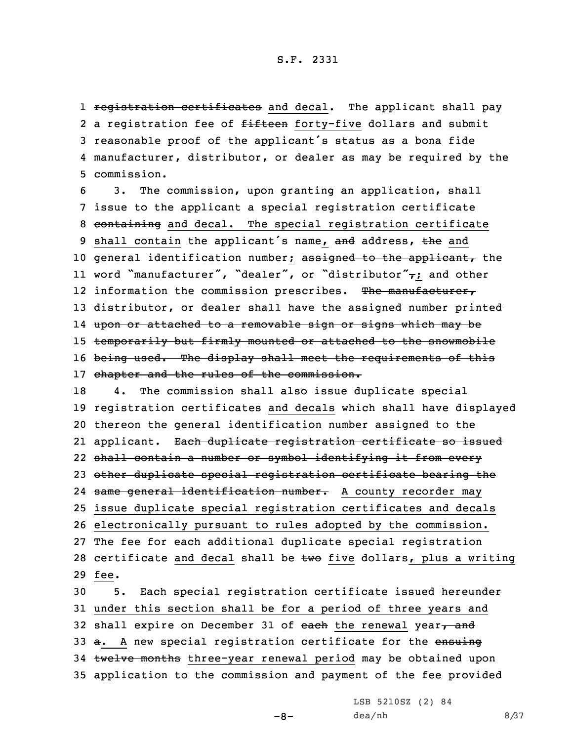1 <del>registration certificates</del> and decal. The applicant shall pay 2 a registration fee of <del>fifteen</del> forty-five dollars and submit <sup>3</sup> reasonable proof of the applicant's status as <sup>a</sup> bona fide 4 manufacturer, distributor, or dealer as may be required by the 5 commission.

6 3. The commission, upon granting an application, shall 7 issue to the applicant <sup>a</sup> special registration certificate 8 containing and decal. The special registration certificate 9 shall contain the applicant's name, and address, the and 10 general identification number; assigned to the applicant, the 11 word "manufacturer", "dealer", or "distributor" $\tau$ ; and other 12 information the commission prescribes. The manufacturer, 13 distributor, or dealer shall have the assigned number printed 14 upon or attached to <sup>a</sup> removable sign or signs which may be 15 temporarily but firmly mounted or attached to the snowmobile 16 being used. The display shall meet the requirements of this 17 chapter and the rules of the commission.

 4. The commission shall also issue duplicate special registration certificates and decals which shall have displayed thereon the general identification number assigned to the 21 applicant. <del>Each duplicate registration certificate so issued</del> shall contain <sup>a</sup> number or symbol identifying it from every other duplicate special registration certificate bearing the 24 <del>same general identification number.</del> A county recorder may issue duplicate special registration certificates and decals electronically pursuant to rules adopted by the commission. The fee for each additional duplicate special registration 28 certificate and decal shall be  $two$  five dollars, plus a writing 29 fee.

30 5. Each special registration certificate issued hereunder 31 under this section shall be for <sup>a</sup> period of three years and 32 shall expire on December 31 of each the renewal year $<sub>r</sub>$  and</sub> 33 a. A new special registration certificate for the ensuing 34 twelve months three-year renewal period may be obtained upon 35 application to the commission and payment of the fee provided

 $-8-$ 

LSB 5210SZ (2) 84  $dea/nh$  8/37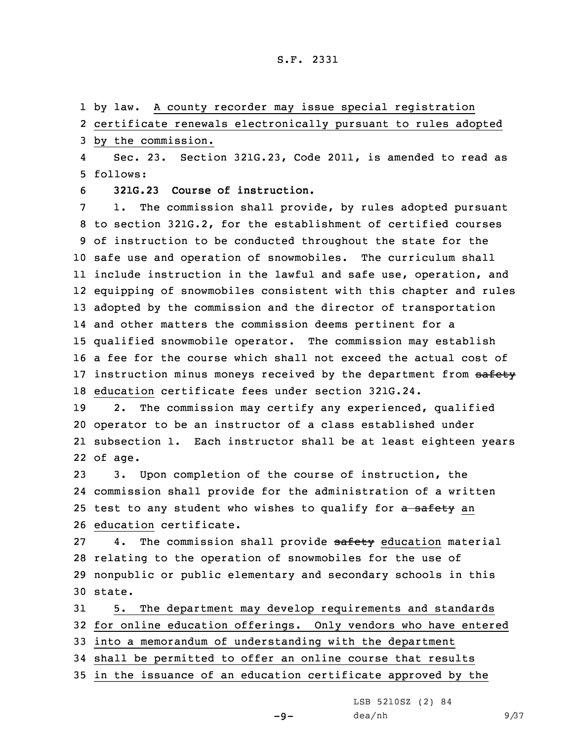1 by law. <sup>A</sup> county recorder may issue special registration

2 certificate renewals electronically pursuant to rules adopted

3 by the commission.

4 Sec. 23. Section 321G.23, Code 2011, is amended to read as 5 follows:

6 **321G.23 Course of instruction.**

 1. The commission shall provide, by rules adopted pursuant to section 321G.2, for the establishment of certified courses of instruction to be conducted throughout the state for the safe use and operation of snowmobiles. The curriculum shall include instruction in the lawful and safe use, operation, and equipping of snowmobiles consistent with this chapter and rules adopted by the commission and the director of transportation and other matters the commission deems pertinent for <sup>a</sup> qualified snowmobile operator. The commission may establish <sup>a</sup> fee for the course which shall not exceed the actual cost of 17 instruction minus moneys received by the department from safety education certificate fees under section 321G.24.

 2. The commission may certify any experienced, qualified operator to be an instructor of <sup>a</sup> class established under subsection 1. Each instructor shall be at least eighteen years 22 of age.

 3. Upon completion of the course of instruction, the commission shall provide for the administration of <sup>a</sup> written 25 test to any student who wishes to qualify for a safety an education certificate.

27 4. The commission shall provide safety education material 28 relating to the operation of snowmobiles for the use of 29 nonpublic or public elementary and secondary schools in this 30 state.

 5. The department may develop requirements and standards for online education offerings. Only vendors who have entered into <sup>a</sup> memorandum of understanding with the department shall be permitted to offer an online course that results in the issuance of an education certificate approved by the

 $-9-$ 

LSB 5210SZ (2) 84

 $dea/nh$  9/37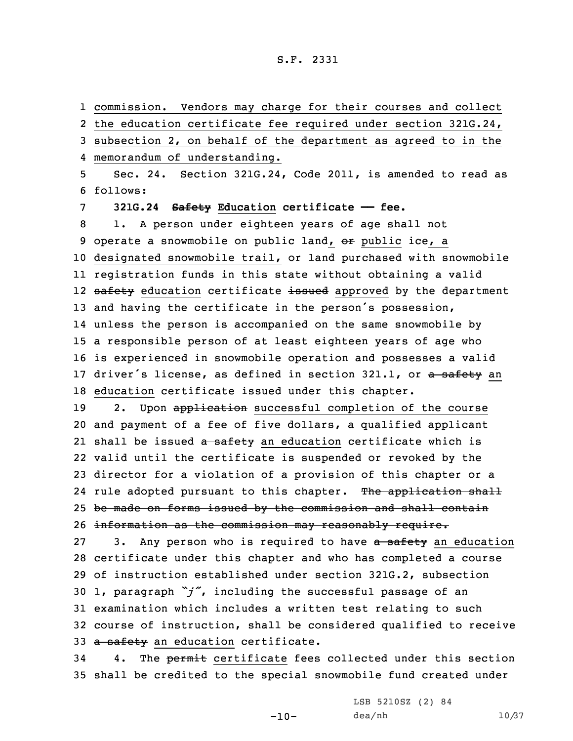1 commission. Vendors may charge for their courses and collect

 the education certificate fee required under section 321G.24, subsection 2, on behalf of the department as agreed to in the memorandum of understanding. Sec. 24. Section 321G.24, Code 2011, is amended to read as 6 follows: **321G.24 Safety Education certificate —— fee.** 1. <sup>A</sup> person under eighteen years of age shall not 9 operate a snowmobile on public land, or public ice, a designated snowmobile trail, or land purchased with snowmobile registration funds in this state without obtaining <sup>a</sup> valid 12 <del>safety</del> education certificate <del>issued</del> approved by the department and having the certificate in the person's possession, unless the person is accompanied on the same snowmobile by <sup>a</sup> responsible person of at least eighteen years of age who is experienced in snowmobile operation and possesses <sup>a</sup> valid 17 driver's license, as defined in section 321.1, or a safety an education certificate issued under this chapter. 19 2. Upon application successful completion of the course and payment of <sup>a</sup> fee of five dollars, <sup>a</sup> qualified applicant 21 shall be issued <del>a safety</del> an education certificate which is valid until the certificate is suspended or revoked by the director for <sup>a</sup> violation of <sup>a</sup> provision of this chapter or <sup>a</sup> 24 rule adopted pursuant to this chapter. The application shall 25 be made on forms issued by the commission and shall contain 26 information as the commission may reasonably require. 27 3. Any person who is required to have a safety an education certificate under this chapter and who has completed <sup>a</sup> course of instruction established under section 321G.2, subsection 1, paragraph *"j"*, including the successful passage of an examination which includes <sup>a</sup> written test relating to such course of instruction, shall be considered qualified to receive 33 a safety an education certificate. 34 4. The permit certificate fees collected under this section shall be credited to the special snowmobile fund created under

 $-10-$ 

LSB 5210SZ (2) 84 dea/nh 10/37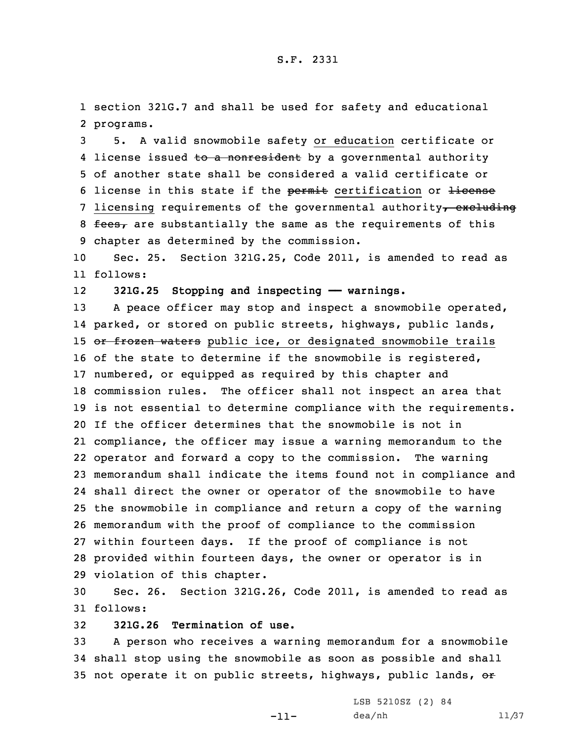1 section 321G.7 and shall be used for safety and educational 2 programs.

3 5. <sup>A</sup> valid snowmobile safety or education certificate or 4 license issued <del>to a nonresident</del> by a governmental authority 5 of another state shall be considered <sup>a</sup> valid certificate or 6 license in this state if the permit certification or license 7 licensing requirements of the governmental authority, excluding 8  $f$ ees, are substantially the same as the requirements of this 9 chapter as determined by the commission.

10 Sec. 25. Section 321G.25, Code 2011, is amended to read as 11 follows:

12**321G.25 Stopping and inspecting —— warnings.**

13 A peace officer may stop and inspect a snowmobile operated, parked, or stored on public streets, highways, public lands, 15 or frozen waters public ice, or designated snowmobile trails 16 of the state to determine if the snowmobile is registered, numbered, or equipped as required by this chapter and commission rules. The officer shall not inspect an area that is not essential to determine compliance with the requirements. If the officer determines that the snowmobile is not in compliance, the officer may issue <sup>a</sup> warning memorandum to the operator and forward <sup>a</sup> copy to the commission. The warning memorandum shall indicate the items found not in compliance and shall direct the owner or operator of the snowmobile to have the snowmobile in compliance and return <sup>a</sup> copy of the warning memorandum with the proof of compliance to the commission within fourteen days. If the proof of compliance is not provided within fourteen days, the owner or operator is in violation of this chapter.

30 Sec. 26. Section 321G.26, Code 2011, is amended to read as 31 follows:

32 **321G.26 Termination of use.**

33 <sup>A</sup> person who receives <sup>a</sup> warning memorandum for <sup>a</sup> snowmobile 34 shall stop using the snowmobile as soon as possible and shall 35 not operate it on public streets, highways, public lands, or

-11-

LSB 5210SZ (2) 84 dea/nh 11/37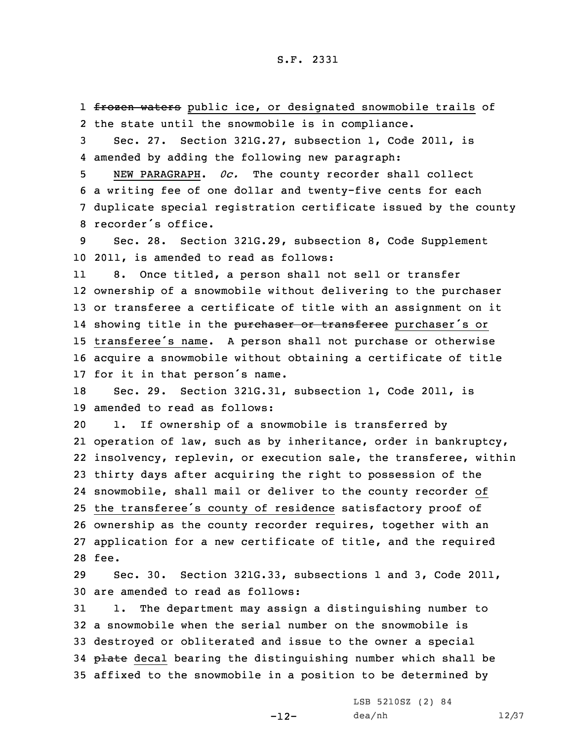1 <del>frozen waters</del> public ice, or designated snowmobile trails of 2 the state until the snowmobile is in compliance.

3 Sec. 27. Section 321G.27, subsection 1, Code 2011, is 4 amended by adding the following new paragraph:

 NEW PARAGRAPH. *0c.* The county recorder shall collect <sup>a</sup> writing fee of one dollar and twenty-five cents for each duplicate special registration certificate issued by the county recorder's office.

9 Sec. 28. Section 321G.29, subsection 8, Code Supplement 10 2011, is amended to read as follows:

11 8. Once titled, <sup>a</sup> person shall not sell or transfer ownership of <sup>a</sup> snowmobile without delivering to the purchaser or transferee <sup>a</sup> certificate of title with an assignment on it 14 showing title in the <del>purchaser or transferee</del> purchaser's or transferee's name. <sup>A</sup> person shall not purchase or otherwise acquire <sup>a</sup> snowmobile without obtaining <sup>a</sup> certificate of title for it in that person's name.

18 Sec. 29. Section 321G.31, subsection 1, Code 2011, is 19 amended to read as follows:

 1. If ownership of <sup>a</sup> snowmobile is transferred by operation of law, such as by inheritance, order in bankruptcy, insolvency, replevin, or execution sale, the transferee, within thirty days after acquiring the right to possession of the snowmobile, shall mail or deliver to the county recorder of the transferee's county of residence satisfactory proof of ownership as the county recorder requires, together with an application for <sup>a</sup> new certificate of title, and the required 28 fee.

29 Sec. 30. Section 321G.33, subsections 1 and 3, Code 2011, 30 are amended to read as follows:

 1. The department may assign <sup>a</sup> distinguishing number to <sup>a</sup> snowmobile when the serial number on the snowmobile is destroyed or obliterated and issue to the owner <sup>a</sup> special 34 plate decal bearing the distinguishing number which shall be affixed to the snowmobile in <sup>a</sup> position to be determined by

-12-

LSB 5210SZ (2) 84 dea/nh 12/37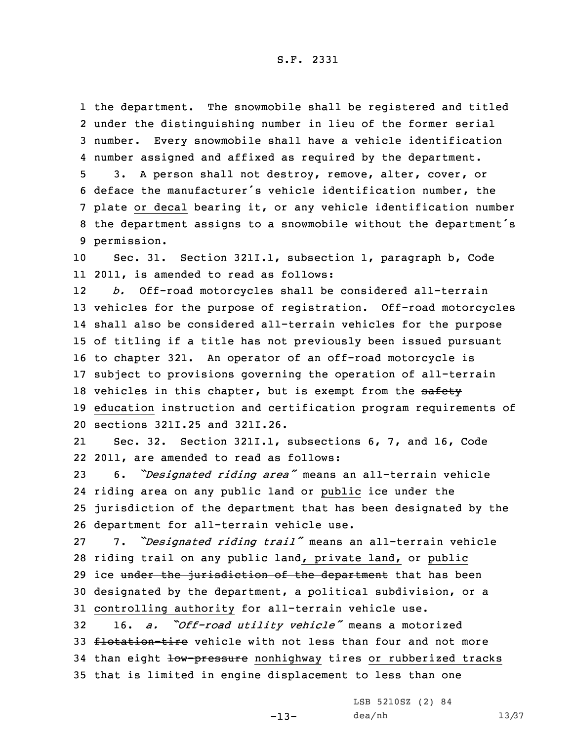the department. The snowmobile shall be registered and titled under the distinguishing number in lieu of the former serial number. Every snowmobile shall have <sup>a</sup> vehicle identification number assigned and affixed as required by the department.

 3. <sup>A</sup> person shall not destroy, remove, alter, cover, or deface the manufacturer's vehicle identification number, the plate or decal bearing it, or any vehicle identification number the department assigns to <sup>a</sup> snowmobile without the department's permission.

10 Sec. 31. Section 321I.1, subsection 1, paragraph b, Code 11 2011, is amended to read as follows:

12 *b.* Off-road motorcycles shall be considered all-terrain 13 vehicles for the purpose of registration. Off-road motorcycles 14 shall also be considered all-terrain vehicles for the purpose 15 of titling if <sup>a</sup> title has not previously been issued pursuant 16 to chapter 321. An operator of an off-road motorcycle is 17 subject to provisions governing the operation of all-terrain 18 vehicles in this chapter, but is exempt from the safety 19 education instruction and certification program requirements of 20 sections 321I.25 and 321I.26.

21 Sec. 32. Section 321I.1, subsections 6, 7, and 16, Code 22 2011, are amended to read as follows:

 6. *"Designated riding area"* means an all-terrain vehicle riding area on any public land or public ice under the jurisdiction of the department that has been designated by the department for all-terrain vehicle use.

 7. *"Designated riding trail"* means an all-terrain vehicle riding trail on any public land, private land, or public 29 ice under the jurisdiction of the department that has been designated by the department, <sup>a</sup> political subdivision, or <sup>a</sup> controlling authority for all-terrain vehicle use.

<sup>32</sup> 16. *a. "Off-road utility vehicle"* means <sup>a</sup> motorized 33 flotation-tire vehicle with not less than four and not more 34 than eight low-pressure nonhighway tires or rubberized tracks 35 that is limited in engine displacement to less than one

-13-

LSB 5210SZ (2) 84 dea/nh 13/37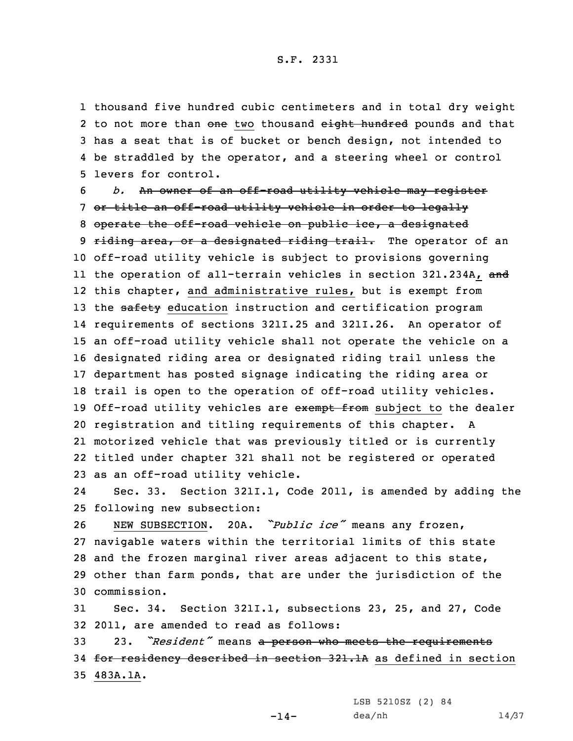thousand five hundred cubic centimeters and in total dry weight 2 to not more than <del>one</del> two thousand e<del>ight hundred</del> pounds and that has <sup>a</sup> seat that is of bucket or bench design, not intended to be straddled by the operator, and <sup>a</sup> steering wheel or control levers for control.

 *b.* An owner of an off-road utility vehicle may register or title an off-road utility vehicle in order to legally 8 operate the off-road vehicle on public ice, a designated 9 riding area, or a designated riding trail. The operator of an off-road utility vehicle is subject to provisions governing ll the operation of all-terrain vehicles in section 321.234A, <del>and</del> this chapter, and administrative rules, but is exempt from 13 the safety education instruction and certification program requirements of sections 321I.25 and 321I.26. An operator of an off-road utility vehicle shall not operate the vehicle on <sup>a</sup> designated riding area or designated riding trail unless the department has posted signage indicating the riding area or trail is open to the operation of off-road utility vehicles. 19 Off-road utility vehicles are exempt from subject to the dealer registration and titling requirements of this chapter. <sup>A</sup> motorized vehicle that was previously titled or is currently titled under chapter 321 shall not be registered or operated as an off-road utility vehicle.

24 Sec. 33. Section 321I.1, Code 2011, is amended by adding the 25 following new subsection:

 NEW SUBSECTION. 20A. *"Public ice"* means any frozen, navigable waters within the territorial limits of this state and the frozen marginal river areas adjacent to this state, other than farm ponds, that are under the jurisdiction of the commission.

31 Sec. 34. Section 321I.1, subsections 23, 25, and 27, Code 32 2011, are amended to read as follows:

<sup>33</sup> 23. *"Resident"* means <sup>a</sup> person who meets the requirements 34 for residency described in section 321.1A as defined in section 35 483A.1A.

> LSB 5210SZ (2) 84 dea/nh 14/37

 $-14-$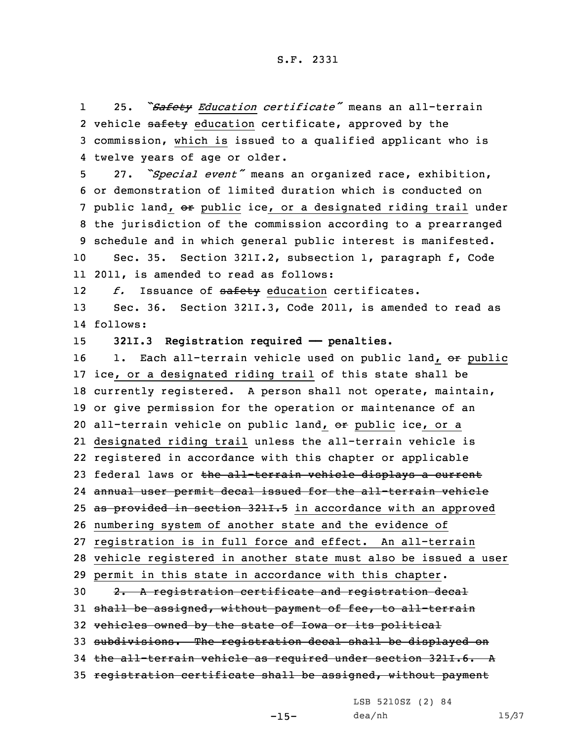1 25. *"Safety Education certificate"* means an all-terrain 2 vehicle <del>safety</del> education certificate, approved by the 3 commission, which is issued to <sup>a</sup> qualified applicant who is 4 twelve years of age or older.

 27. *"Special event"* means an organized race, exhibition, or demonstration of limited duration which is conducted on 7 public land, or public ice, or a designated riding trail under the jurisdiction of the commission according to <sup>a</sup> prearranged schedule and in which general public interest is manifested. Sec. 35. Section 321I.2, subsection 1, paragraph f, Code

11 2011, is amended to read as follows:

12*f.* Issuance of safety education certificates.

13 Sec. 36. Section 321I.3, Code 2011, is amended to read as 14 follows:

15 **321I.3 Registration required —— penalties.**

16 1. Each all-terrain vehicle used on public land, or public ice, or <sup>a</sup> designated riding trail of this state shall be currently registered. <sup>A</sup> person shall not operate, maintain, or give permission for the operation or maintenance of an 20 all-terrain vehicle on public land, or public ice, or a designated riding trail unless the all-terrain vehicle is registered in accordance with this chapter or applicable 23 federal laws or the all-terrain vehicle displays a current annual user permit decal issued for the all-terrain vehicle 25 as provided in section 321I.5 in accordance with an approved numbering system of another state and the evidence of registration is in full force and effect. An all-terrain vehicle registered in another state must also be issued <sup>a</sup> user permit in this state in accordance with this chapter. 2. <sup>A</sup> registration certificate and registration decal 31 shall be assigned, without payment of fee, to all-terrain vehicles owned by the state of Iowa or its political subdivisions. The registration decal shall be displayed on the all-terrain vehicle as required under section 321I.6. <sup>A</sup> registration certificate shall be assigned, without payment

LSB 5210SZ (2) 84

 $-15-$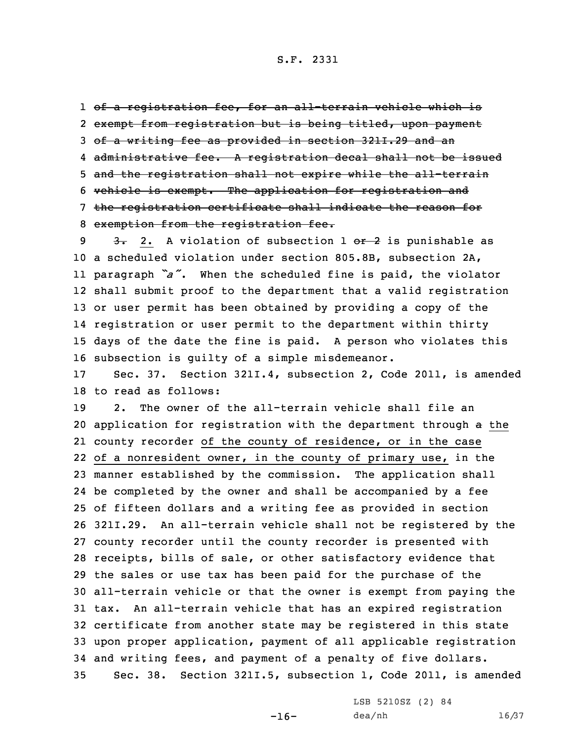of <sup>a</sup> registration fee, for an all-terrain vehicle which is exempt from registration but is being titled, upon payment of <sup>a</sup> writing fee as provided in section 321I.29 and an administrative fee. <sup>A</sup> registration decal shall not be issued and the registration shall not expire while the all-terrain vehicle is exempt. The application for registration and the registration certificate shall indicate the reason for exemption from the registration fee.

 $3.2.$  A violation of subsection 1 or 2 is punishable as <sup>a</sup> scheduled violation under section 805.8B, subsection 2A, paragraph *"a"*. When the scheduled fine is paid, the violator shall submit proof to the department that <sup>a</sup> valid registration or user permit has been obtained by providing <sup>a</sup> copy of the registration or user permit to the department within thirty days of the date the fine is paid. <sup>A</sup> person who violates this subsection is guilty of <sup>a</sup> simple misdemeanor.

17 Sec. 37. Section 321I.4, subsection 2, Code 2011, is amended 18 to read as follows:

 2. The owner of the all-terrain vehicle shall file an application for registration with the department through <sup>a</sup> the county recorder of the county of residence, or in the case of <sup>a</sup> nonresident owner, in the county of primary use, in the manner established by the commission. The application shall be completed by the owner and shall be accompanied by <sup>a</sup> fee of fifteen dollars and <sup>a</sup> writing fee as provided in section 321I.29. An all-terrain vehicle shall not be registered by the county recorder until the county recorder is presented with receipts, bills of sale, or other satisfactory evidence that the sales or use tax has been paid for the purchase of the all-terrain vehicle or that the owner is exempt from paying the tax. An all-terrain vehicle that has an expired registration certificate from another state may be registered in this state upon proper application, payment of all applicable registration and writing fees, and payment of <sup>a</sup> penalty of five dollars. Sec. 38. Section 321I.5, subsection 1, Code 2011, is amended

 $-16-$ 

LSB 5210SZ (2) 84 dea/nh 16/37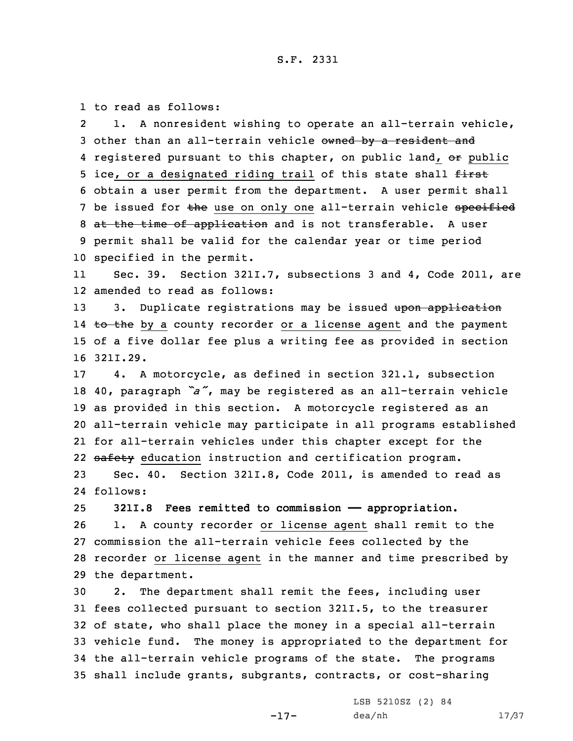1 to read as follows:

2 1. <sup>A</sup> nonresident wishing to operate an all-terrain vehicle, 3 other than an all-terrain vehicle owned by a resident and 4 registered pursuant to this chapter, on public land, <del>or</del> public 5 ice, or a designated riding trail of this state shall first 6 obtain <sup>a</sup> user permit from the department. <sup>A</sup> user permit shall 7 be issued for the use on only one all-terrain vehicle specified 8 at the time of application and is not transferable. A user 9 permit shall be valid for the calendar year or time period 10 specified in the permit.

11 Sec. 39. Section 321I.7, subsections 3 and 4, Code 2011, are 12 amended to read as follows:

13 3. Duplicate registrations may be issued upon application 14 <del>to the</del> by a county recorder or a license agent and the payment 15 of <sup>a</sup> five dollar fee plus <sup>a</sup> writing fee as provided in section 16 321I.29.

 4. <sup>A</sup> motorcycle, as defined in section 321.1, subsection 40, paragraph *"a"*, may be registered as an all-terrain vehicle as provided in this section. <sup>A</sup> motorcycle registered as an all-terrain vehicle may participate in all programs established for all-terrain vehicles under this chapter except for the 22 safety education instruction and certification program.

23 Sec. 40. Section 321I.8, Code 2011, is amended to read as 24 follows:

25 **321I.8 Fees remitted to commission —— appropriation.**

 1. <sup>A</sup> county recorder or license agent shall remit to the commission the all-terrain vehicle fees collected by the recorder or license agent in the manner and time prescribed by the department.

 2. The department shall remit the fees, including user fees collected pursuant to section 321I.5, to the treasurer of state, who shall place the money in <sup>a</sup> special all-terrain vehicle fund. The money is appropriated to the department for the all-terrain vehicle programs of the state. The programs shall include grants, subgrants, contracts, or cost-sharing

-17-

LSB 5210SZ (2) 84 dea/nh 17/37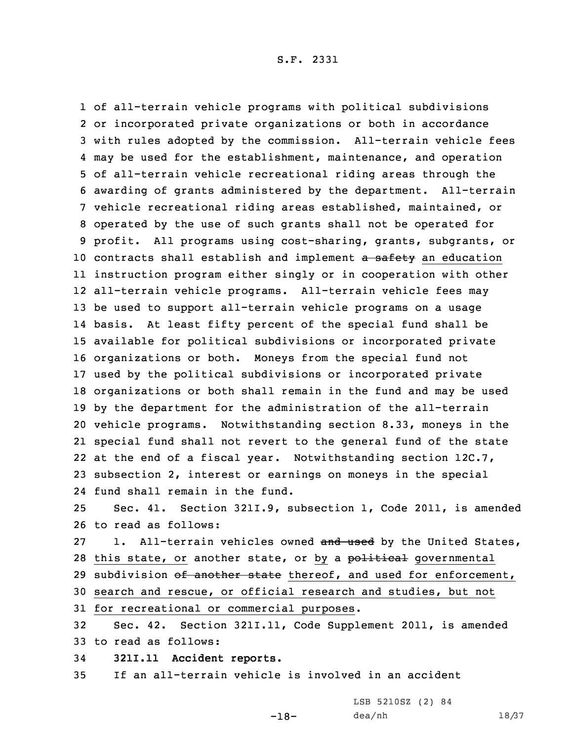of all-terrain vehicle programs with political subdivisions or incorporated private organizations or both in accordance with rules adopted by the commission. All-terrain vehicle fees may be used for the establishment, maintenance, and operation of all-terrain vehicle recreational riding areas through the awarding of grants administered by the department. All-terrain vehicle recreational riding areas established, maintained, or operated by the use of such grants shall not be operated for profit. All programs using cost-sharing, grants, subgrants, or 10 contracts shall establish and implement a safety an education instruction program either singly or in cooperation with other all-terrain vehicle programs. All-terrain vehicle fees may be used to support all-terrain vehicle programs on <sup>a</sup> usage basis. At least fifty percent of the special fund shall be available for political subdivisions or incorporated private organizations or both. Moneys from the special fund not used by the political subdivisions or incorporated private organizations or both shall remain in the fund and may be used by the department for the administration of the all-terrain vehicle programs. Notwithstanding section 8.33, moneys in the special fund shall not revert to the general fund of the state at the end of <sup>a</sup> fiscal year. Notwithstanding section 12C.7, subsection 2, interest or earnings on moneys in the special fund shall remain in the fund. Sec. 41. Section 321I.9, subsection 1, Code 2011, is amended to read as follows: 27 1. All-terrain vehicles owned and used by the United States, 28 this state, or another state, or by a political governmental 29 subdivision of another state thereof, and used for enforcement, search and rescue, or official research and studies, but not for recreational or commercial purposes. Sec. 42. Section 321I.11, Code Supplement 2011, is amended

33 to read as follows:

34 **321I.11 Accident reports.**

35 If an all-terrain vehicle is involved in an accident

-18-

LSB 5210SZ (2) 84 dea/nh 18/37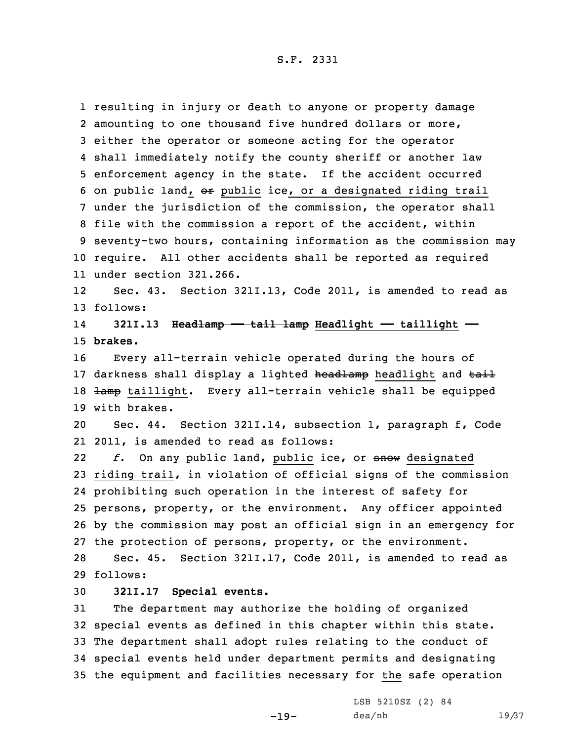resulting in injury or death to anyone or property damage amounting to one thousand five hundred dollars or more, either the operator or someone acting for the operator shall immediately notify the county sheriff or another law enforcement agency in the state. If the accident occurred 6 on public land, or public ice, or a designated riding trail under the jurisdiction of the commission, the operator shall file with the commission <sup>a</sup> report of the accident, within seventy-two hours, containing information as the commission may require. All other accidents shall be reported as required under section 321.266.

12 Sec. 43. Section 321I.13, Code 2011, is amended to read as 13 follows:

14 **321I.13 Headlamp —— tail lamp Headlight —— taillight ——** 15 **brakes.**

16 Every all-terrain vehicle operated during the hours of 17 darkness shall display a lighted headlamp headlight and tail 18 lamp taillight. Every all-terrain vehicle shall be equipped 19 with brakes.

20 Sec. 44. Section 321I.14, subsection 1, paragraph f, Code 21 2011, is amended to read as follows:

22 *f.* On any public land, public ice, or snow designated riding trail, in violation of official signs of the commission prohibiting such operation in the interest of safety for persons, property, or the environment. Any officer appointed by the commission may post an official sign in an emergency for the protection of persons, property, or the environment. Sec. 45. Section 321I.17, Code 2011, is amended to read as

29 follows:

# 30 **321I.17 Special events.**

 The department may authorize the holding of organized special events as defined in this chapter within this state. The department shall adopt rules relating to the conduct of special events held under department permits and designating the equipment and facilities necessary for the safe operation

-19-

LSB 5210SZ (2) 84 dea/nh 19/37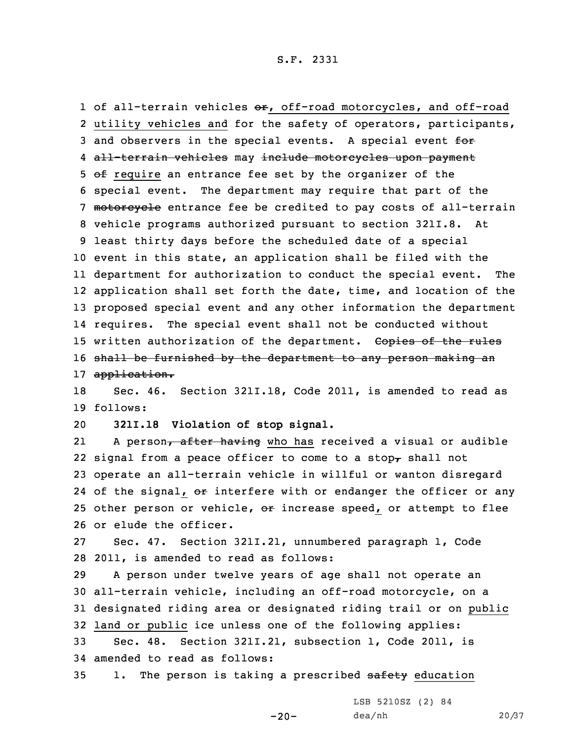1 of all-terrain vehicles  $\Theta$ r, off-road motorcycles, and off-road 2 utility vehicles and for the safety of operators, participants, 3 and observers in the special events. A special event for 4 <del>all-terrain vehicles</del> may <del>include motorcycles upon payment</del> 5 of require an entrance fee set by the organizer of the 6 special event. The department may require that part of the 7 motorcycle entrance fee be credited to pay costs of all-terrain 8 vehicle programs authorized pursuant to section 321I.8. At 9 least thirty days before the scheduled date of <sup>a</sup> special 10 event in this state, an application shall be filed with the 11 department for authorization to conduct the special event. The 12 application shall set forth the date, time, and location of the 13 proposed special event and any other information the department 14 requires. The special event shall not be conducted without 15 written authorization of the department. Copies of the rules 16 shall be furnished by the department to any person making an 17 application.

18 Sec. 46. Section 321I.18, Code 2011, is amended to read as 19 follows:

20 **321I.18 Violation of stop signal.**

21A person, after having who has received a visual or audible 22 signal from a peace officer to come to a stop, shall not 23 operate an all-terrain vehicle in willful or wanton disregard 24 of the signal, <del>or</del> interfere with or endanger the officer or any 25 other person or vehicle,  $\Theta$ <sup>+</sup> increase speed, or attempt to flee 26 or elude the officer.

27 Sec. 47. Section 321I.21, unnumbered paragraph 1, Code 28 2011, is amended to read as follows:

 <sup>A</sup> person under twelve years of age shall not operate an all-terrain vehicle, including an off-road motorcycle, on <sup>a</sup> designated riding area or designated riding trail or on public land or public ice unless one of the following applies:

33 Sec. 48. Section 321I.21, subsection 1, Code 2011, is 34 amended to read as follows:

35 1. The person is taking a prescribed safety education

-20-

LSB 5210SZ (2) 84 dea/nh 20/37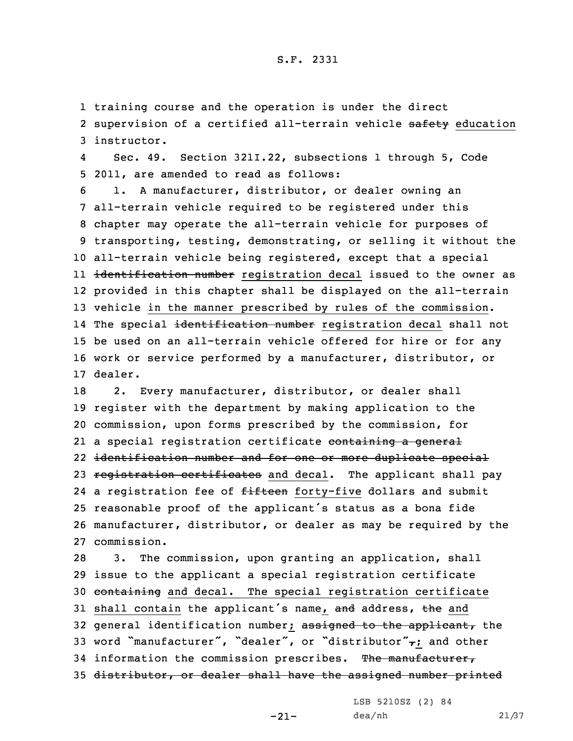1 training course and the operation is under the direct 2 supervision of a certified all-terrain vehicle safety education 3 instructor.

4 Sec. 49. Section 321I.22, subsections 1 through 5, Code 5 2011, are amended to read as follows:

 1. <sup>A</sup> manufacturer, distributor, or dealer owning an all-terrain vehicle required to be registered under this chapter may operate the all-terrain vehicle for purposes of transporting, testing, demonstrating, or selling it without the all-terrain vehicle being registered, except that <sup>a</sup> special ll <del>identification number</del> registration decal issued to the owner as provided in this chapter shall be displayed on the all-terrain vehicle in the manner prescribed by rules of the commission. 14 The special <del>identification number</del> registration decal shall not be used on an all-terrain vehicle offered for hire or for any work or service performed by <sup>a</sup> manufacturer, distributor, or 17 dealer.

18 2. Every manufacturer, distributor, or dealer shall 19 register with the department by making application to the 20 commission, upon forms prescribed by the commission, for 21 a special registration certificate <del>containing a general</del> 22 identification number and for one or more duplicate special 23 registration certificates and decal. The applicant shall pay 24 a registration fee of <del>fifteen</del> forty-five dollars and submit <sup>25</sup> reasonable proof of the applicant's status as <sup>a</sup> bona fide 26 manufacturer, distributor, or dealer as may be required by the 27 commission.

28 3. The commission, upon granting an application, shall 29 issue to the applicant <sup>a</sup> special registration certificate 30 containing and decal. The special registration certificate 31 shall contain the applicant's name, and address, the and 32 general identification number; assigned to the applicant, the 33 word "manufacturer", "dealer", or "distributor" $\tau$ ; and other 34 information the commission prescribes. The manufacturer, 35 distributor, or dealer shall have the assigned number printed

-21-

LSB 5210SZ (2) 84 dea/nh 21/37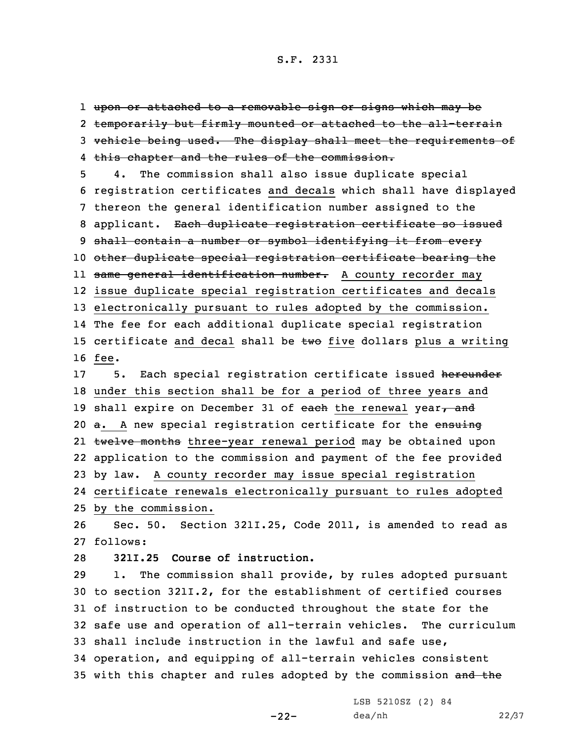upon or attached to <sup>a</sup> removable sign or signs which may be 2 temporarily but firmly mounted or attached to the all-terrain vehicle being used. The display shall meet the requirements of this chapter and the rules of the commission.

 4. The commission shall also issue duplicate special registration certificates and decals which shall have displayed thereon the general identification number assigned to the 8 applicant. Each duplicate registration certificate so issued shall contain <sup>a</sup> number or symbol identifying it from every other duplicate special registration certificate bearing the ll <del>same general identification number.</del> A county recorder may issue duplicate special registration certificates and decals electronically pursuant to rules adopted by the commission. The fee for each additional duplicate special registration 15 certificate and decal shall be  $t$ wo five dollars plus a writing 16 fee. 17 5. Each special registration certificate issued hereunder

 under this section shall be for <sup>a</sup> period of three years and 19 shall expire on December 31 of each the renewal year $<sub>r</sub>$  and</sub> 20 a. A new special registration certificate for the ensuing 21 <del>twelve months</del> three-year renewal period may be obtained upon application to the commission and payment of the fee provided by law. <sup>A</sup> county recorder may issue special registration certificate renewals electronically pursuant to rules adopted by the commission.

26 Sec. 50. Section 321I.25, Code 2011, is amended to read as 27 follows:

28 **321I.25 Course of instruction.**

 1. The commission shall provide, by rules adopted pursuant to section 321I.2, for the establishment of certified courses of instruction to be conducted throughout the state for the safe use and operation of all-terrain vehicles. The curriculum shall include instruction in the lawful and safe use, operation, and equipping of all-terrain vehicles consistent 35 with this chapter and rules adopted by the commission and the

-22-

LSB 5210SZ (2) 84 dea/nh 22/37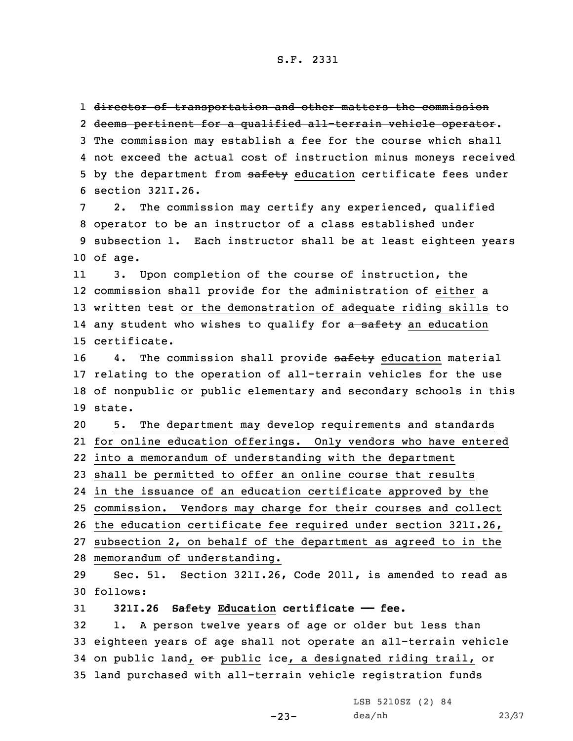1 <del>director of transportation and other matters the commission</del>

 deems pertinent for <sup>a</sup> qualified all-terrain vehicle operator. The commission may establish <sup>a</sup> fee for the course which shall not exceed the actual cost of instruction minus moneys received 5 by the department from safety education certificate fees under section 321I.26.

 2. The commission may certify any experienced, qualified operator to be an instructor of <sup>a</sup> class established under subsection 1. Each instructor shall be at least eighteen years 10 of age.

11 3. Upon completion of the course of instruction, the 12 commission shall provide for the administration of either <sup>a</sup> 13 written test or the demonstration of adequate riding skills to 14 any student who wishes to qualify for <del>a safety</del> an education 15 certificate.

16 4. The commission shall provide safety education material 17 relating to the operation of all-terrain vehicles for the use 18 of nonpublic or public elementary and secondary schools in this 19 state.

 5. The department may develop requirements and standards for online education offerings. Only vendors who have entered into <sup>a</sup> memorandum of understanding with the department shall be permitted to offer an online course that results in the issuance of an education certificate approved by the commission. Vendors may charge for their courses and collect

26 the education certificate fee required under section 321I.26,

27 subsection 2, on behalf of the department as agreed to in the 28 memorandum of understanding.

29 Sec. 51. Section 321I.26, Code 2011, is amended to read as 30 follows:

31 **321I.26 Safety Education certificate —— fee.**

 1. <sup>A</sup> person twelve years of age or older but less than eighteen years of age shall not operate an all-terrain vehicle 34 on public land, or public ice, a designated riding trail, or land purchased with all-terrain vehicle registration funds

> LSB 5210SZ (2) 84 dea/nh 23/37

-23-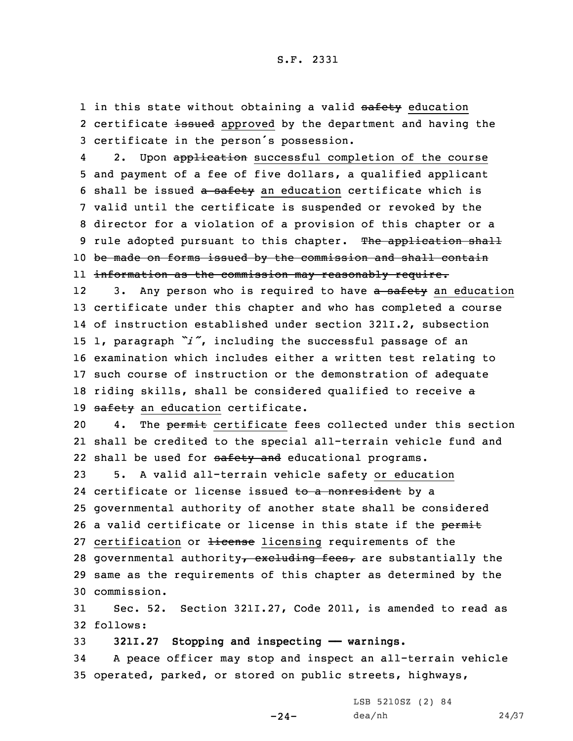1 in this state without obtaining a valid safety education 2 certificate <del>issued</del> approved by the department and having the <sup>3</sup> certificate in the person's possession.

42. Upon application successful completion of the course 5 and payment of <sup>a</sup> fee of five dollars, <sup>a</sup> qualified applicant 6 shall be issued a safety an education certificate which is 7 valid until the certificate is suspended or revoked by the 8 director for <sup>a</sup> violation of <sup>a</sup> provision of this chapter or <sup>a</sup> 9 rule adopted pursuant to this chapter. The application shall 10 be made on forms issued by the commission and shall contain 11 information as the commission may reasonably require.

123. Any person who is required to have a safety an education 13 certificate under this chapter and who has completed <sup>a</sup> course 14 of instruction established under section 321I.2, subsection <sup>15</sup> 1, paragraph *"i"*, including the successful passage of an 16 examination which includes either <sup>a</sup> written test relating to 17 such course of instruction or the demonstration of adequate 18 riding skills, shall be considered qualified to receive a 19 safety an education certificate.

20 4. The permit certificate fees collected under this section 21 shall be credited to the special all-terrain vehicle fund and 22 shall be used for safety and educational programs.

23 5. <sup>A</sup> valid all-terrain vehicle safety or education 24 certificate or license issued <del>to a nonresident</del> by a 25 governmental authority of another state shall be considered 26 a valid certificate or license in this state if the permit 27 certification or Hicense licensing requirements of the 28 governmental authority, excluding fees, are substantially the 29 same as the requirements of this chapter as determined by the 30 commission.

31 Sec. 52. Section 321I.27, Code 2011, is amended to read as 32 follows:

33 **321I.27 Stopping and inspecting —— warnings.**

34 <sup>A</sup> peace officer may stop and inspect an all-terrain vehicle 35 operated, parked, or stored on public streets, highways,

 $-24-$ 

LSB 5210SZ (2) 84 dea/nh 24/37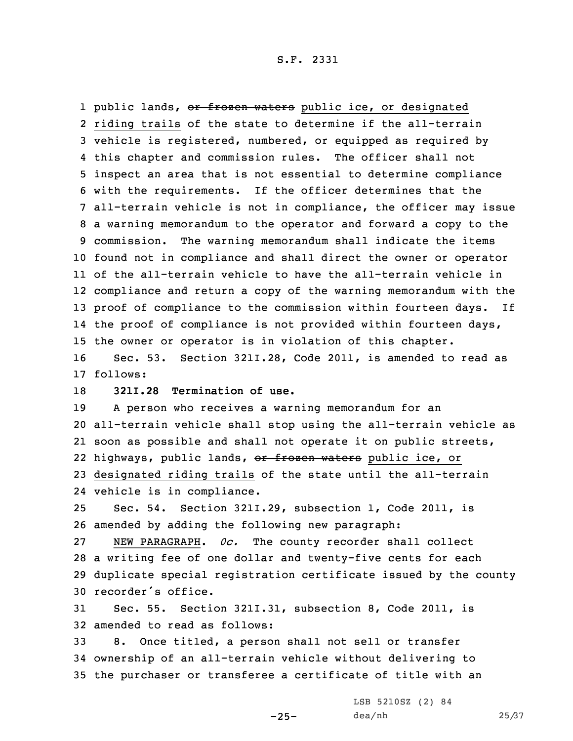1 public lands, <del>or frozen waters</del> public ice, or designated riding trails of the state to determine if the all-terrain vehicle is registered, numbered, or equipped as required by this chapter and commission rules. The officer shall not inspect an area that is not essential to determine compliance with the requirements. If the officer determines that the all-terrain vehicle is not in compliance, the officer may issue <sup>a</sup> warning memorandum to the operator and forward <sup>a</sup> copy to the commission. The warning memorandum shall indicate the items found not in compliance and shall direct the owner or operator of the all-terrain vehicle to have the all-terrain vehicle in compliance and return <sup>a</sup> copy of the warning memorandum with the proof of compliance to the commission within fourteen days. If the proof of compliance is not provided within fourteen days, the owner or operator is in violation of this chapter. Sec. 53. Section 321I.28, Code 2011, is amended to read as

17 follows:

18 **321I.28 Termination of use.**

 <sup>A</sup> person who receives <sup>a</sup> warning memorandum for an all-terrain vehicle shall stop using the all-terrain vehicle as soon as possible and shall not operate it on public streets, 22 highways, public lands, <del>or frozen waters</del> public ice, or designated riding trails of the state until the all-terrain vehicle is in compliance.

25 Sec. 54. Section 321I.29, subsection 1, Code 2011, is 26 amended by adding the following new paragraph:

 NEW PARAGRAPH. *0c.* The county recorder shall collect <sup>a</sup> writing fee of one dollar and twenty-five cents for each duplicate special registration certificate issued by the county recorder's office.

31 Sec. 55. Section 321I.31, subsection 8, Code 2011, is 32 amended to read as follows:

33 8. Once titled, <sup>a</sup> person shall not sell or transfer 34 ownership of an all-terrain vehicle without delivering to 35 the purchaser or transferee <sup>a</sup> certificate of title with an

LSB 5210SZ (2) 84

 $-25-$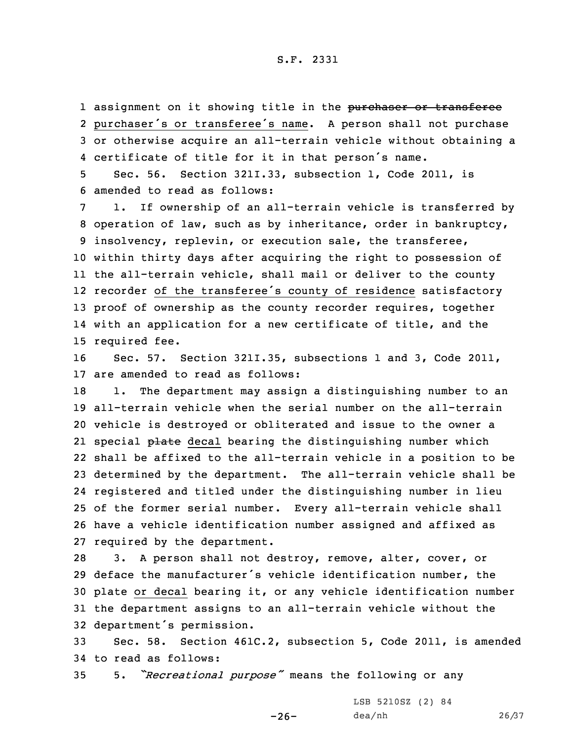1 assignment on it showing title in the purchaser or transferee purchaser's or transferee's name. <sup>A</sup> person shall not purchase or otherwise acquire an all-terrain vehicle without obtaining <sup>a</sup> certificate of title for it in that person's name.

5 Sec. 56. Section 321I.33, subsection 1, Code 2011, is 6 amended to read as follows:

 1. If ownership of an all-terrain vehicle is transferred by operation of law, such as by inheritance, order in bankruptcy, insolvency, replevin, or execution sale, the transferee, within thirty days after acquiring the right to possession of the all-terrain vehicle, shall mail or deliver to the county recorder of the transferee's county of residence satisfactory proof of ownership as the county recorder requires, together with an application for <sup>a</sup> new certificate of title, and the required fee.

16 Sec. 57. Section 321I.35, subsections 1 and 3, Code 2011, 17 are amended to read as follows:

18 1. The department may assign a distinguishing number to an all-terrain vehicle when the serial number on the all-terrain vehicle is destroyed or obliterated and issue to the owner <sup>a</sup> 21 special <del>plate</del> decal bearing the distinguishing number which shall be affixed to the all-terrain vehicle in <sup>a</sup> position to be determined by the department. The all-terrain vehicle shall be registered and titled under the distinguishing number in lieu of the former serial number. Every all-terrain vehicle shall have <sup>a</sup> vehicle identification number assigned and affixed as required by the department.

 3. <sup>A</sup> person shall not destroy, remove, alter, cover, or deface the manufacturer's vehicle identification number, the plate or decal bearing it, or any vehicle identification number the department assigns to an all-terrain vehicle without the department's permission.

33 Sec. 58. Section 461C.2, subsection 5, Code 2011, is amended 34 to read as follows:

-26-

<sup>35</sup> 5. *"Recreational purpose"* means the following or any

LSB 5210SZ (2) 84 dea/nh 26/37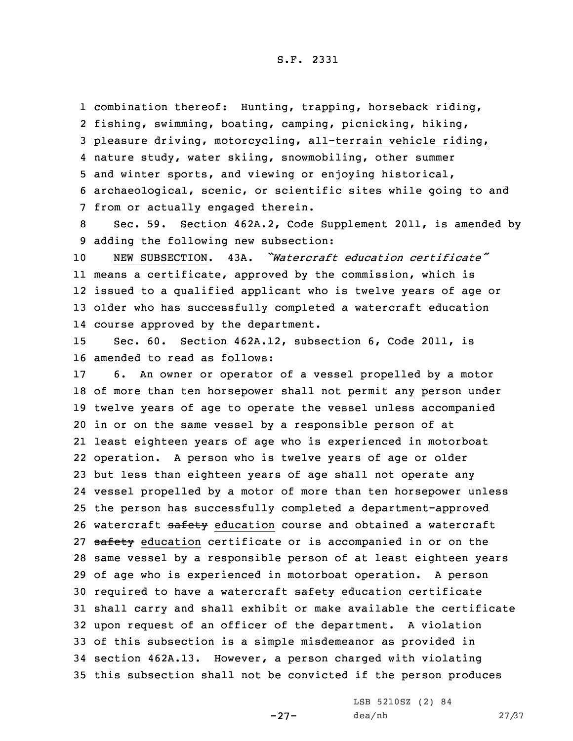combination thereof: Hunting, trapping, horseback riding, fishing, swimming, boating, camping, picnicking, hiking, pleasure driving, motorcycling, all-terrain vehicle riding, nature study, water skiing, snowmobiling, other summer and winter sports, and viewing or enjoying historical, archaeological, scenic, or scientific sites while going to and from or actually engaged therein.

8 Sec. 59. Section 462A.2, Code Supplement 2011, is amended by 9 adding the following new subsection:

 NEW SUBSECTION. 43A. *"Watercraft education certificate"* means <sup>a</sup> certificate, approved by the commission, which is issued to <sup>a</sup> qualified applicant who is twelve years of age or older who has successfully completed <sup>a</sup> watercraft education course approved by the department.

15 Sec. 60. Section 462A.12, subsection 6, Code 2011, is 16 amended to read as follows:

 6. An owner or operator of <sup>a</sup> vessel propelled by <sup>a</sup> motor of more than ten horsepower shall not permit any person under twelve years of age to operate the vessel unless accompanied in or on the same vessel by <sup>a</sup> responsible person of at least eighteen years of age who is experienced in motorboat operation. <sup>A</sup> person who is twelve years of age or older but less than eighteen years of age shall not operate any vessel propelled by <sup>a</sup> motor of more than ten horsepower unless the person has successfully completed <sup>a</sup> department-approved 26 watercraft safety education course and obtained a watercraft 27 safety education certificate or is accompanied in or on the same vessel by <sup>a</sup> responsible person of at least eighteen years of age who is experienced in motorboat operation. <sup>A</sup> person 30 required to have a watercraft safety education certificate shall carry and shall exhibit or make available the certificate upon request of an officer of the department. <sup>A</sup> violation of this subsection is <sup>a</sup> simple misdemeanor as provided in section 462A.13. However, <sup>a</sup> person charged with violating this subsection shall not be convicted if the person produces

-27-

LSB 5210SZ (2) 84 dea/nh 27/37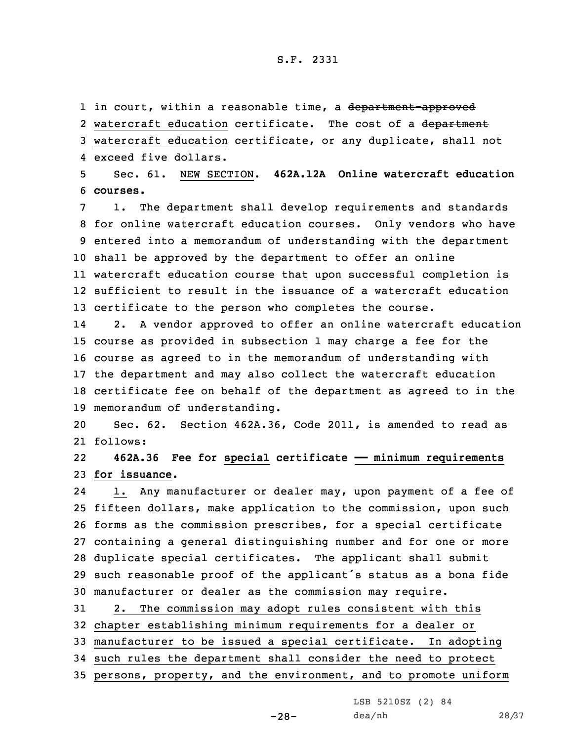1 in court, within a reasonable time, a <del>department-approved</del>

2 watercraft education certificate. The cost of a <del>department</del> 3 watercraft education certificate, or any duplicate, shall not 4 exceed five dollars.

5 Sec. 61. NEW SECTION. **462A.12A Online watercraft education** 6 **courses.**

 1. The department shall develop requirements and standards for online watercraft education courses. Only vendors who have entered into <sup>a</sup> memorandum of understanding with the department shall be approved by the department to offer an online watercraft education course that upon successful completion is sufficient to result in the issuance of <sup>a</sup> watercraft education certificate to the person who completes the course.

14 2. <sup>A</sup> vendor approved to offer an online watercraft education course as provided in subsection 1 may charge <sup>a</sup> fee for the course as agreed to in the memorandum of understanding with the department and may also collect the watercraft education certificate fee on behalf of the department as agreed to in the memorandum of understanding.

20 Sec. 62. Section 462A.36, Code 2011, is amended to read as 21 follows:

22 **462A.36 Fee for special certificate —— minimum requirements** 23 **for issuance.**

24 1. Any manufacturer or dealer may, upon payment of <sup>a</sup> fee of fifteen dollars, make application to the commission, upon such forms as the commission prescribes, for <sup>a</sup> special certificate containing <sup>a</sup> general distinguishing number and for one or more duplicate special certificates. The applicant shall submit such reasonable proof of the applicant's status as <sup>a</sup> bona fide manufacturer or dealer as the commission may require.

 2. The commission may adopt rules consistent with this chapter establishing minimum requirements for <sup>a</sup> dealer or manufacturer to be issued <sup>a</sup> special certificate. In adopting such rules the department shall consider the need to protect persons, property, and the environment, and to promote uniform

LSB 5210SZ (2) 84

-28-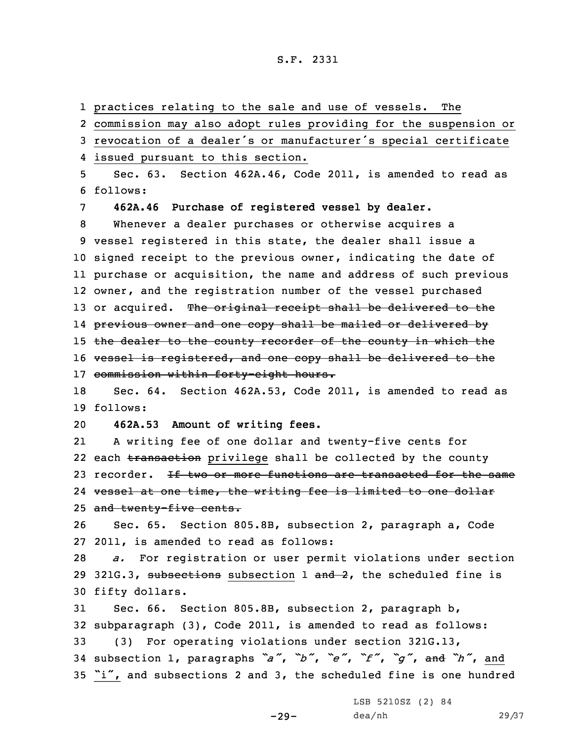practices relating to the sale and use of vessels. The commission may also adopt rules providing for the suspension or revocation of <sup>a</sup> dealer's or manufacturer's special certificate issued pursuant to this section. Sec. 63. Section 462A.46, Code 2011, is amended to read as 6 follows: **462A.46 Purchase of registered vessel by dealer.** Whenever <sup>a</sup> dealer purchases or otherwise acquires <sup>a</sup> vessel registered in this state, the dealer shall issue <sup>a</sup> signed receipt to the previous owner, indicating the date of purchase or acquisition, the name and address of such previous owner, and the registration number of the vessel purchased 13 or acquired. The original receipt shall be delivered to the previous owner and one copy shall be mailed or delivered by 15 the dealer to the county recorder of the county in which the 16 vessel is registered, and one copy shall be delivered to the commission within forty-eight hours. Sec. 64. Section 462A.53, Code 2011, is amended to read as 19 follows: **462A.53 Amount of writing fees.** 21 <sup>A</sup> writing fee of one dollar and twenty-five cents for 22 each <del>transaction</del> privilege shall be collected by the county 23 recorder. If two or more functions are transacted for the same vessel at one time, the writing fee is limited to one dollar 25 and twenty-five cents. Sec. 65. Section 805.8B, subsection 2, paragraph a, Code 2011, is amended to read as follows: *a.* For registration or user permit violations under section 29 321G.3, subsections subsection  $1$  and  $2$ , the scheduled fine is fifty dollars. Sec. 66. Section 805.8B, subsection 2, paragraph b, subparagraph (3), Code 2011, is amended to read as follows: (3) For operating violations under section 321G.13, subsection 1, paragraphs *"a"*, *"b"*, *"e"*, *"f"*, *"g"*, and *"h"*, and "i", and subsections 2 and 3, the scheduled fine is one hundred

-29-

LSB 5210SZ (2) 84 dea/nh 29/37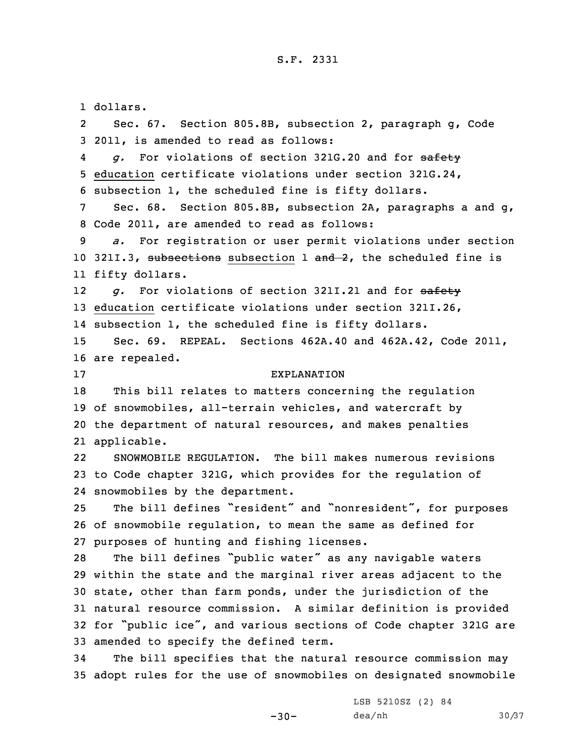1 dollars. 2 Sec. 67. Section 805.8B, subsection 2, paragraph g, Code 2011, is amended to read as follows: 4 *g.* For violations of section 321G.20 and for safety education certificate violations under section 321G.24, subsection 1, the scheduled fine is fifty dollars. Sec. 68. Section 805.8B, subsection 2A, paragraphs <sup>a</sup> and g, Code 2011, are amended to read as follows: *a.* For registration or user permit violations under section 10 321I.3, subsections subsection 1 and 2, the scheduled fine is fifty dollars. 12 *g.* For violations of section 321I.21 and for safety education certificate violations under section 321I.26, subsection 1, the scheduled fine is fifty dollars. Sec. 69. REPEAL. Sections 462A.40 and 462A.42, Code 2011, are repealed. EXPLANATION This bill relates to matters concerning the regulation of snowmobiles, all-terrain vehicles, and watercraft by the department of natural resources, and makes penalties applicable. 22 SNOWMOBILE REGULATION. The bill makes numerous revisions to Code chapter 321G, which provides for the regulation of snowmobiles by the department. The bill defines "resident" and "nonresident", for purposes of snowmobile regulation, to mean the same as defined for purposes of hunting and fishing licenses. The bill defines "public water" as any navigable waters within the state and the marginal river areas adjacent to the state, other than farm ponds, under the jurisdiction of the natural resource commission. <sup>A</sup> similar definition is provided for "public ice", and various sections of Code chapter 321G are amended to specify the defined term. The bill specifies that the natural resource commission may adopt rules for the use of snowmobiles on designated snowmobile

 $-30-$ 

LSB 5210SZ (2) 84 dea/nh 30/37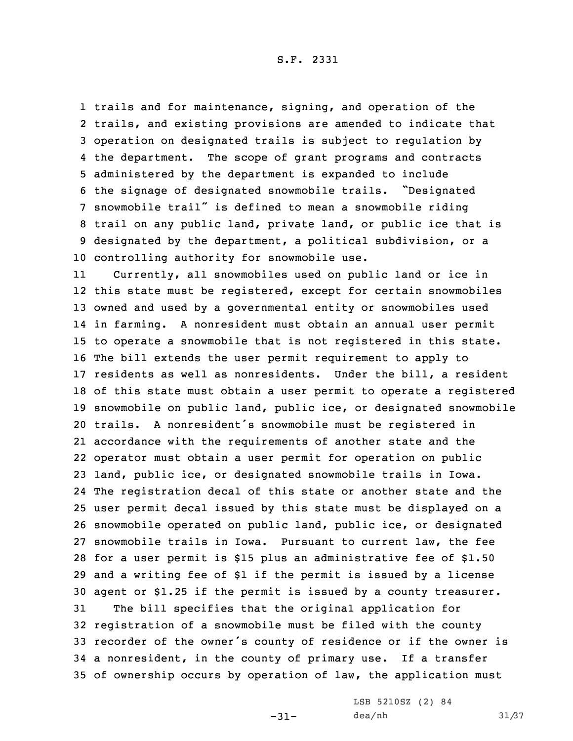trails and for maintenance, signing, and operation of the trails, and existing provisions are amended to indicate that operation on designated trails is subject to regulation by the department. The scope of grant programs and contracts administered by the department is expanded to include the signage of designated snowmobile trails. "Designated snowmobile trail" is defined to mean <sup>a</sup> snowmobile riding trail on any public land, private land, or public ice that is designated by the department, <sup>a</sup> political subdivision, or <sup>a</sup> controlling authority for snowmobile use.

11 Currently, all snowmobiles used on public land or ice in this state must be registered, except for certain snowmobiles owned and used by <sup>a</sup> governmental entity or snowmobiles used in farming. <sup>A</sup> nonresident must obtain an annual user permit to operate <sup>a</sup> snowmobile that is not registered in this state. The bill extends the user permit requirement to apply to residents as well as nonresidents. Under the bill, <sup>a</sup> resident of this state must obtain <sup>a</sup> user permit to operate <sup>a</sup> registered snowmobile on public land, public ice, or designated snowmobile trails. <sup>A</sup> nonresident's snowmobile must be registered in accordance with the requirements of another state and the operator must obtain <sup>a</sup> user permit for operation on public land, public ice, or designated snowmobile trails in Iowa. The registration decal of this state or another state and the user permit decal issued by this state must be displayed on <sup>a</sup> snowmobile operated on public land, public ice, or designated snowmobile trails in Iowa. Pursuant to current law, the fee for <sup>a</sup> user permit is \$15 plus an administrative fee of \$1.50 and <sup>a</sup> writing fee of \$1 if the permit is issued by <sup>a</sup> license agent or \$1.25 if the permit is issued by <sup>a</sup> county treasurer. The bill specifies that the original application for registration of <sup>a</sup> snowmobile must be filed with the county recorder of the owner's county of residence or if the owner is <sup>a</sup> nonresident, in the county of primary use. If <sup>a</sup> transfer of ownership occurs by operation of law, the application must

-31-

LSB 5210SZ (2) 84 dea/nh 31/37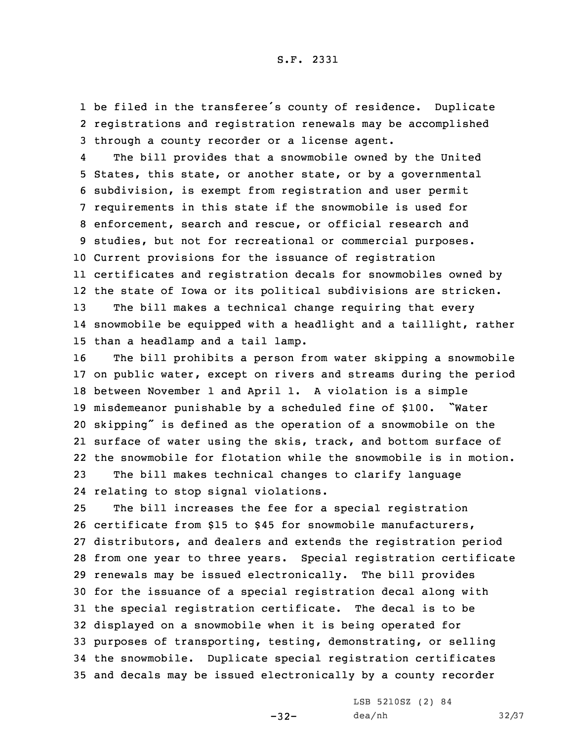1 be filed in the transferee's county of residence. Duplicate 2 registrations and registration renewals may be accomplished 3 through <sup>a</sup> county recorder or <sup>a</sup> license agent.

4 The bill provides that <sup>a</sup> snowmobile owned by the United States, this state, or another state, or by <sup>a</sup> governmental subdivision, is exempt from registration and user permit requirements in this state if the snowmobile is used for enforcement, search and rescue, or official research and studies, but not for recreational or commercial purposes. Current provisions for the issuance of registration certificates and registration decals for snowmobiles owned by the state of Iowa or its political subdivisions are stricken. The bill makes <sup>a</sup> technical change requiring that every snowmobile be equipped with <sup>a</sup> headlight and <sup>a</sup> taillight, rather than <sup>a</sup> headlamp and <sup>a</sup> tail lamp.

 The bill prohibits <sup>a</sup> person from water skipping <sup>a</sup> snowmobile on public water, except on rivers and streams during the period between November 1 and April 1. <sup>A</sup> violation is <sup>a</sup> simple misdemeanor punishable by <sup>a</sup> scheduled fine of \$100. "Water skipping" is defined as the operation of <sup>a</sup> snowmobile on the surface of water using the skis, track, and bottom surface of the snowmobile for flotation while the snowmobile is in motion.

23 The bill makes technical changes to clarify language 24 relating to stop signal violations.

 The bill increases the fee for <sup>a</sup> special registration certificate from \$15 to \$45 for snowmobile manufacturers, distributors, and dealers and extends the registration period from one year to three years. Special registration certificate renewals may be issued electronically. The bill provides for the issuance of <sup>a</sup> special registration decal along with the special registration certificate. The decal is to be displayed on <sup>a</sup> snowmobile when it is being operated for purposes of transporting, testing, demonstrating, or selling the snowmobile. Duplicate special registration certificates and decals may be issued electronically by <sup>a</sup> county recorder

-32-

LSB 5210SZ (2) 84 dea/nh 32/37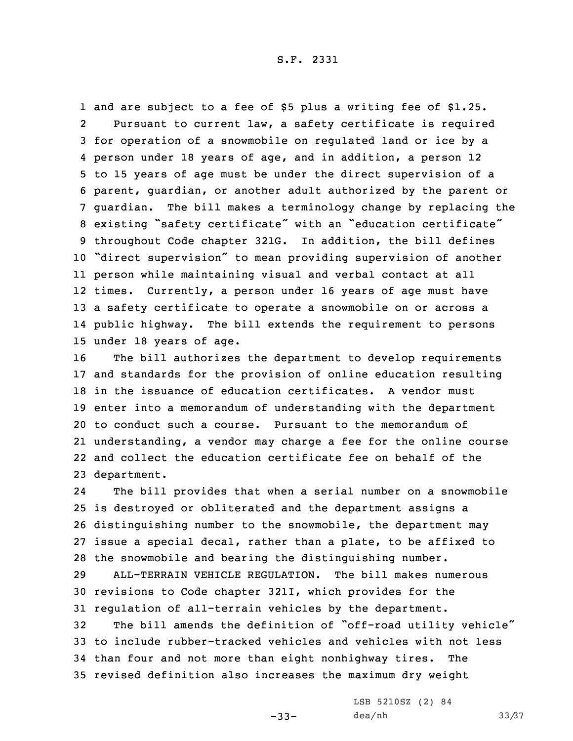and are subject to <sup>a</sup> fee of \$5 plus <sup>a</sup> writing fee of \$1.25. 2 Pursuant to current law, <sup>a</sup> safety certificate is required for operation of <sup>a</sup> snowmobile on regulated land or ice by <sup>a</sup> person under 18 years of age, and in addition, <sup>a</sup> person 12 to 15 years of age must be under the direct supervision of <sup>a</sup> parent, guardian, or another adult authorized by the parent or guardian. The bill makes <sup>a</sup> terminology change by replacing the existing "safety certificate" with an "education certificate" throughout Code chapter 321G. In addition, the bill defines "direct supervision" to mean providing supervision of another person while maintaining visual and verbal contact at all times. Currently, <sup>a</sup> person under 16 years of age must have <sup>a</sup> safety certificate to operate <sup>a</sup> snowmobile on or across <sup>a</sup> public highway. The bill extends the requirement to persons under 18 years of age.

 The bill authorizes the department to develop requirements and standards for the provision of online education resulting in the issuance of education certificates. A vendor must enter into <sup>a</sup> memorandum of understanding with the department to conduct such a course. Pursuant to the memorandum of understanding, <sup>a</sup> vendor may charge <sup>a</sup> fee for the online course and collect the education certificate fee on behalf of the department.

24 The bill provides that when <sup>a</sup> serial number on <sup>a</sup> snowmobile is destroyed or obliterated and the department assigns <sup>a</sup> distinguishing number to the snowmobile, the department may issue <sup>a</sup> special decal, rather than <sup>a</sup> plate, to be affixed to the snowmobile and bearing the distinguishing number.

29 ALL-TERRAIN VEHICLE REGULATION. The bill makes numerous 30 revisions to Code chapter 321I, which provides for the 31 regulation of all-terrain vehicles by the department.

 The bill amends the definition of "off-road utility vehicle" to include rubber-tracked vehicles and vehicles with not less than four and not more than eight nonhighway tires. The revised definition also increases the maximum dry weight

 $-33-$ 

LSB 5210SZ (2) 84 dea/nh 33/37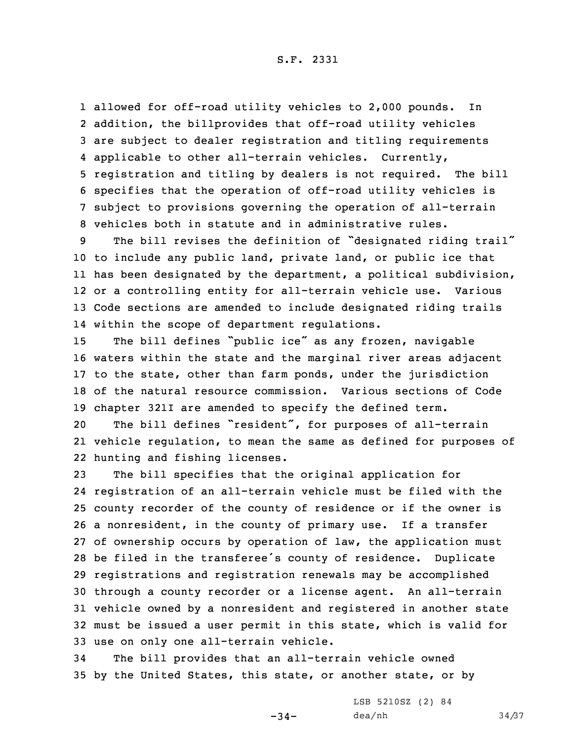allowed for off-road utility vehicles to 2,000 pounds. In addition, the billprovides that off-road utility vehicles are subject to dealer registration and titling requirements applicable to other all-terrain vehicles. Currently, registration and titling by dealers is not required. The bill specifies that the operation of off-road utility vehicles is subject to provisions governing the operation of all-terrain vehicles both in statute and in administrative rules.

 The bill revises the definition of "designated riding trail" to include any public land, private land, or public ice that has been designated by the department, <sup>a</sup> political subdivision, or <sup>a</sup> controlling entity for all-terrain vehicle use. Various Code sections are amended to include designated riding trails within the scope of department regulations.

 The bill defines "public ice" as any frozen, navigable waters within the state and the marginal river areas adjacent to the state, other than farm ponds, under the jurisdiction of the natural resource commission. Various sections of Code chapter 321I are amended to specify the defined term.

<sup>20</sup> The bill defines "resident", for purposes of all-terrain 21 vehicle regulation, to mean the same as defined for purposes of 22 hunting and fishing licenses.

 The bill specifies that the original application for registration of an all-terrain vehicle must be filed with the county recorder of the county of residence or if the owner is <sup>a</sup> nonresident, in the county of primary use. If <sup>a</sup> transfer of ownership occurs by operation of law, the application must be filed in the transferee's county of residence. Duplicate registrations and registration renewals may be accomplished through <sup>a</sup> county recorder or <sup>a</sup> license agent. An all-terrain vehicle owned by <sup>a</sup> nonresident and registered in another state must be issued <sup>a</sup> user permit in this state, which is valid for use on only one all-terrain vehicle.

34 The bill provides that an all-terrain vehicle owned 35 by the United States, this state, or another state, or by

 $-34-$ 

LSB 5210SZ (2) 84 dea/nh 34/37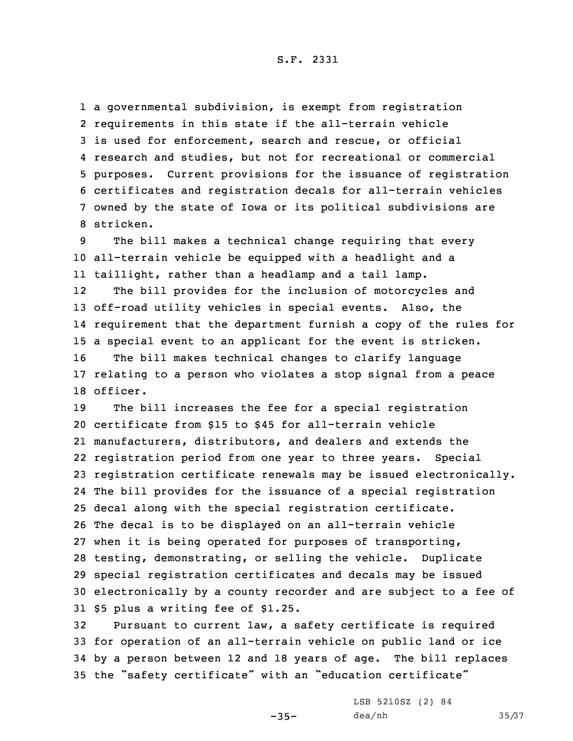<sup>a</sup> governmental subdivision, is exempt from registration requirements in this state if the all-terrain vehicle is used for enforcement, search and rescue, or official research and studies, but not for recreational or commercial purposes. Current provisions for the issuance of registration certificates and registration decals for all-terrain vehicles owned by the state of Iowa or its political subdivisions are stricken.

9 The bill makes <sup>a</sup> technical change requiring that every 10 all-terrain vehicle be equipped with <sup>a</sup> headlight and <sup>a</sup> 11 taillight, rather than <sup>a</sup> headlamp and <sup>a</sup> tail lamp.

12 The bill provides for the inclusion of motorcycles and off-road utility vehicles in special events. Also, the requirement that the department furnish <sup>a</sup> copy of the rules for <sup>a</sup> special event to an applicant for the event is stricken. The bill makes technical changes to clarify language relating to <sup>a</sup> person who violates <sup>a</sup> stop signal from <sup>a</sup> peace 18 officer.

 The bill increases the fee for <sup>a</sup> special registration certificate from \$15 to \$45 for all-terrain vehicle manufacturers, distributors, and dealers and extends the registration period from one year to three years. Special registration certificate renewals may be issued electronically. The bill provides for the issuance of <sup>a</sup> special registration decal along with the special registration certificate. The decal is to be displayed on an all-terrain vehicle when it is being operated for purposes of transporting, testing, demonstrating, or selling the vehicle. Duplicate special registration certificates and decals may be issued electronically by <sup>a</sup> county recorder and are subject to <sup>a</sup> fee of \$5 plus <sup>a</sup> writing fee of \$1.25.

 Pursuant to current law, <sup>a</sup> safety certificate is required for operation of an all-terrain vehicle on public land or ice by <sup>a</sup> person between 12 and 18 years of age. The bill replaces the "safety certificate" with an "education certificate"

 $-35-$ 

LSB 5210SZ (2) 84 dea/nh 35/37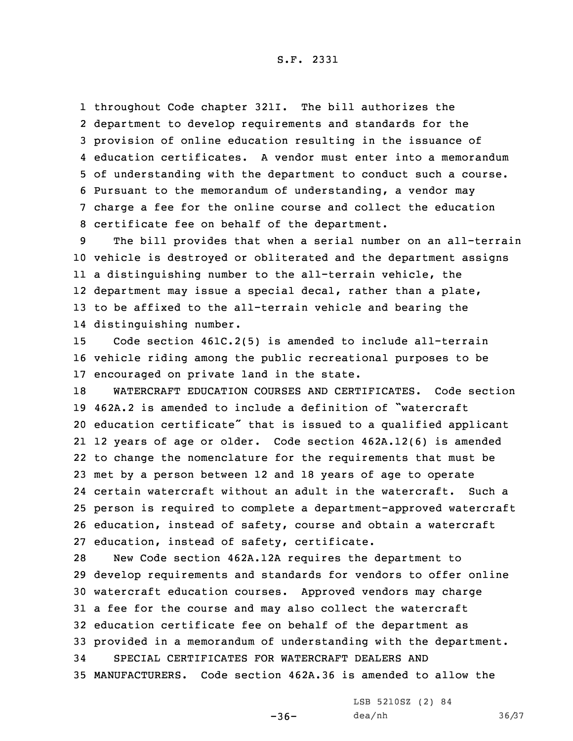throughout Code chapter 321I. The bill authorizes the department to develop requirements and standards for the provision of online education resulting in the issuance of education certificates. A vendor must enter into <sup>a</sup> memorandum of understanding with the department to conduct such <sup>a</sup> course. Pursuant to the memorandum of understanding, <sup>a</sup> vendor may charge <sup>a</sup> fee for the online course and collect the education certificate fee on behalf of the department.

 The bill provides that when <sup>a</sup> serial number on an all-terrain vehicle is destroyed or obliterated and the department assigns <sup>a</sup> distinguishing number to the all-terrain vehicle, the department may issue <sup>a</sup> special decal, rather than <sup>a</sup> plate, to be affixed to the all-terrain vehicle and bearing the distinguishing number.

15 Code section 461C.2(5) is amended to include all-terrain 16 vehicle riding among the public recreational purposes to be 17 encouraged on private land in the state.

 WATERCRAFT EDUCATION COURSES AND CERTIFICATES. Code section 462A.2 is amended to include <sup>a</sup> definition of "watercraft education certificate" that is issued to <sup>a</sup> qualified applicant 12 years of age or older. Code section 462A.12(6) is amended to change the nomenclature for the requirements that must be met by <sup>a</sup> person between 12 and 18 years of age to operate certain watercraft without an adult in the watercraft. Such <sup>a</sup> person is required to complete <sup>a</sup> department-approved watercraft education, instead of safety, course and obtain <sup>a</sup> watercraft education, instead of safety, certificate.

 New Code section 462A.12A requires the department to develop requirements and standards for vendors to offer online watercraft education courses. Approved vendors may charge <sup>a</sup> fee for the course and may also collect the watercraft education certificate fee on behalf of the department as provided in <sup>a</sup> memorandum of understanding with the department. SPECIAL CERTIFICATES FOR WATERCRAFT DEALERS AND MANUFACTURERS. Code section 462A.36 is amended to allow the

LSB 5210SZ (2) 84

 $-36-$ 

dea/nh 36/37